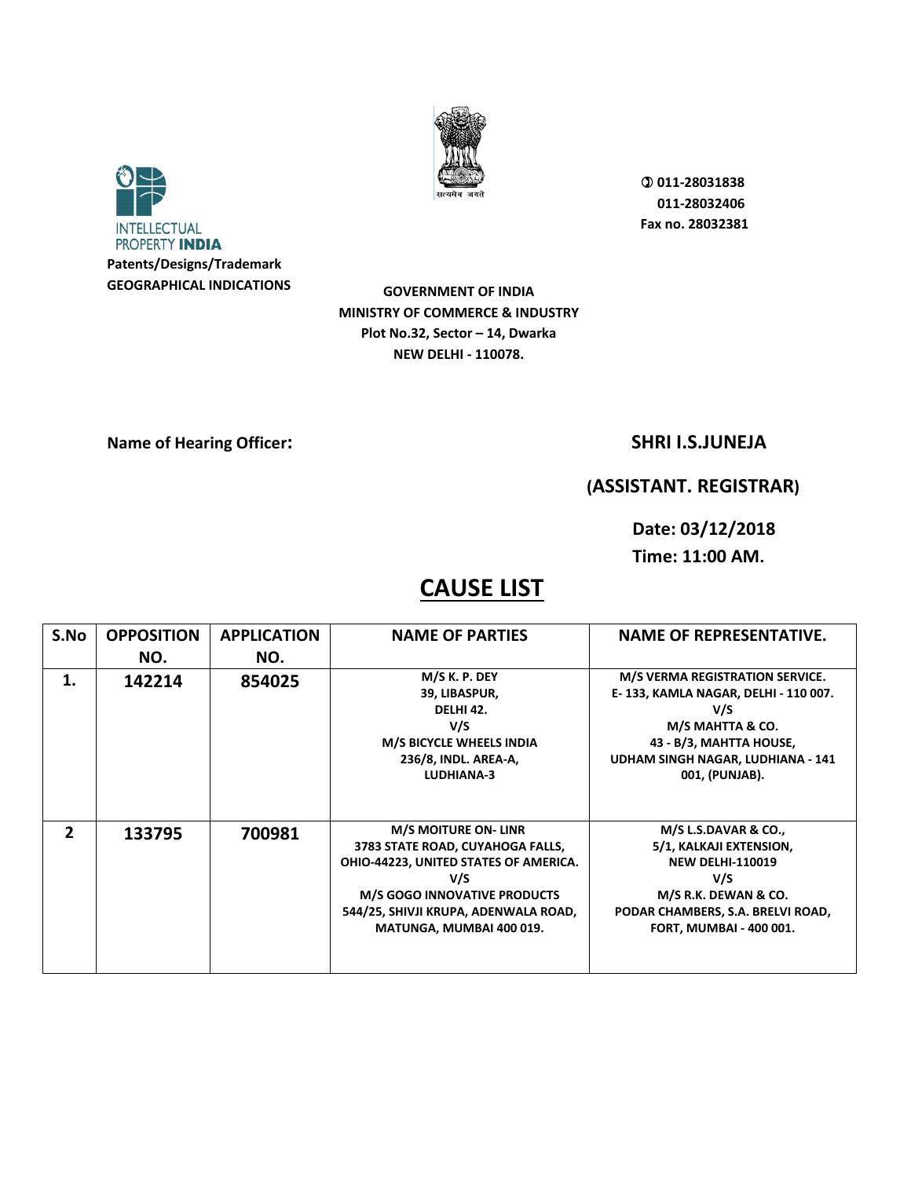



**GOVERNMENT OF INDIA MINISTRY OF COMMERCE & INDUSTRY Plot No.32, Sector – 14, Dwarka NEW DELHI - 110078.** 

### **Name of Hearing Officer:** SHRI I.S.JUNEJA

## **(ASSISTANT. REGISTRAR)**

**Date: 03/12/2018 Time: 11:00 AM.** 

| S.No           | <b>OPPOSITION</b> | <b>APPLICATION</b> | <b>NAME OF PARTIES</b>                                                                                                                                                                                                     | <b>NAME OF REPRESENTATIVE.</b>                                                                                                                                                       |
|----------------|-------------------|--------------------|----------------------------------------------------------------------------------------------------------------------------------------------------------------------------------------------------------------------------|--------------------------------------------------------------------------------------------------------------------------------------------------------------------------------------|
|                | NO.               | NO.                |                                                                                                                                                                                                                            |                                                                                                                                                                                      |
| 1.             | 142214            | 854025             | M/S K. P. DEY<br>39, LIBASPUR,<br>DELHI 42.<br>V/S<br>M/S BICYCLE WHEELS INDIA<br>236/8, INDL. AREA-A,<br>LUDHIANA-3                                                                                                       | M/S VERMA REGISTRATION SERVICE.<br>E-133, KAMLA NAGAR, DELHI - 110 007.<br>V/S<br>M/S MAHTTA & CO.<br>43 - B/3, MAHTTA HOUSE,<br>UDHAM SINGH NAGAR, LUDHIANA - 141<br>001, (PUNJAB). |
| $\overline{2}$ | 133795            | 700981             | <b>M/S MOITURE ON- LINR</b><br>3783 STATE ROAD, CUYAHOGA FALLS,<br>OHIO-44223, UNITED STATES OF AMERICA.<br>V/S<br><b>M/S GOGO INNOVATIVE PRODUCTS</b><br>544/25, SHIVJI KRUPA, ADENWALA ROAD,<br>MATUNGA, MUMBAI 400 019. | M/S L.S.DAVAR & CO.,<br>5/1, KALKAJI EXTENSION,<br><b>NEW DELHI-110019</b><br>V/S<br>M/S R.K. DEWAN & CO.<br>PODAR CHAMBERS, S.A. BRELVI ROAD,<br>FORT, MUMBAI - 400 001.            |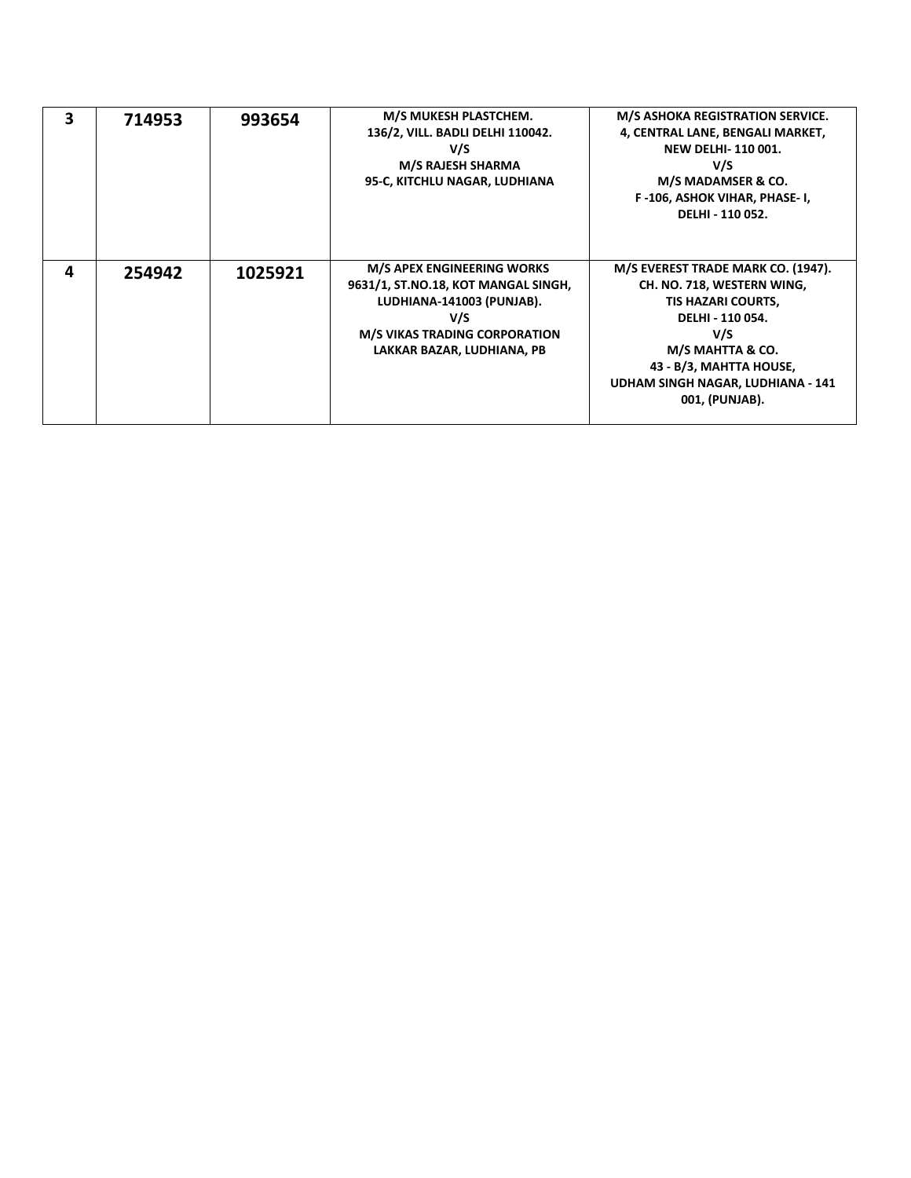| 3 | 714953 | 993654  | M/S MUKESH PLASTCHEM.<br>136/2, VILL. BADLI DELHI 110042.<br>V/S<br><b>M/S RAJESH SHARMA</b><br>95-C, KITCHLU NAGAR, LUDHIANA                                                      | M/S ASHOKA REGISTRATION SERVICE.<br>4, CENTRAL LANE, BENGALI MARKET,<br><b>NEW DELHI-110001.</b><br>V/S<br>M/S MADAMSER & CO.<br>F-106, ASHOK VIHAR, PHASE-I,<br>DELHI - 110 052.                                       |
|---|--------|---------|------------------------------------------------------------------------------------------------------------------------------------------------------------------------------------|-------------------------------------------------------------------------------------------------------------------------------------------------------------------------------------------------------------------------|
| Δ | 254942 | 1025921 | <b>M/S APEX ENGINEERING WORKS</b><br>9631/1, ST.NO.18, KOT MANGAL SINGH,<br>LUDHIANA-141003 (PUNJAB).<br>V/S<br><b>M/S VIKAS TRADING CORPORATION</b><br>LAKKAR BAZAR, LUDHIANA, PB | M/S EVEREST TRADE MARK CO. (1947).<br>CH. NO. 718, WESTERN WING,<br>TIS HAZARI COURTS,<br>DELHI - 110 054.<br>V/S<br>M/S MAHTTA & CO.<br>43 - B/3, MAHTTA HOUSE,<br>UDHAM SINGH NAGAR, LUDHIANA - 141<br>001, (PUNJAB). |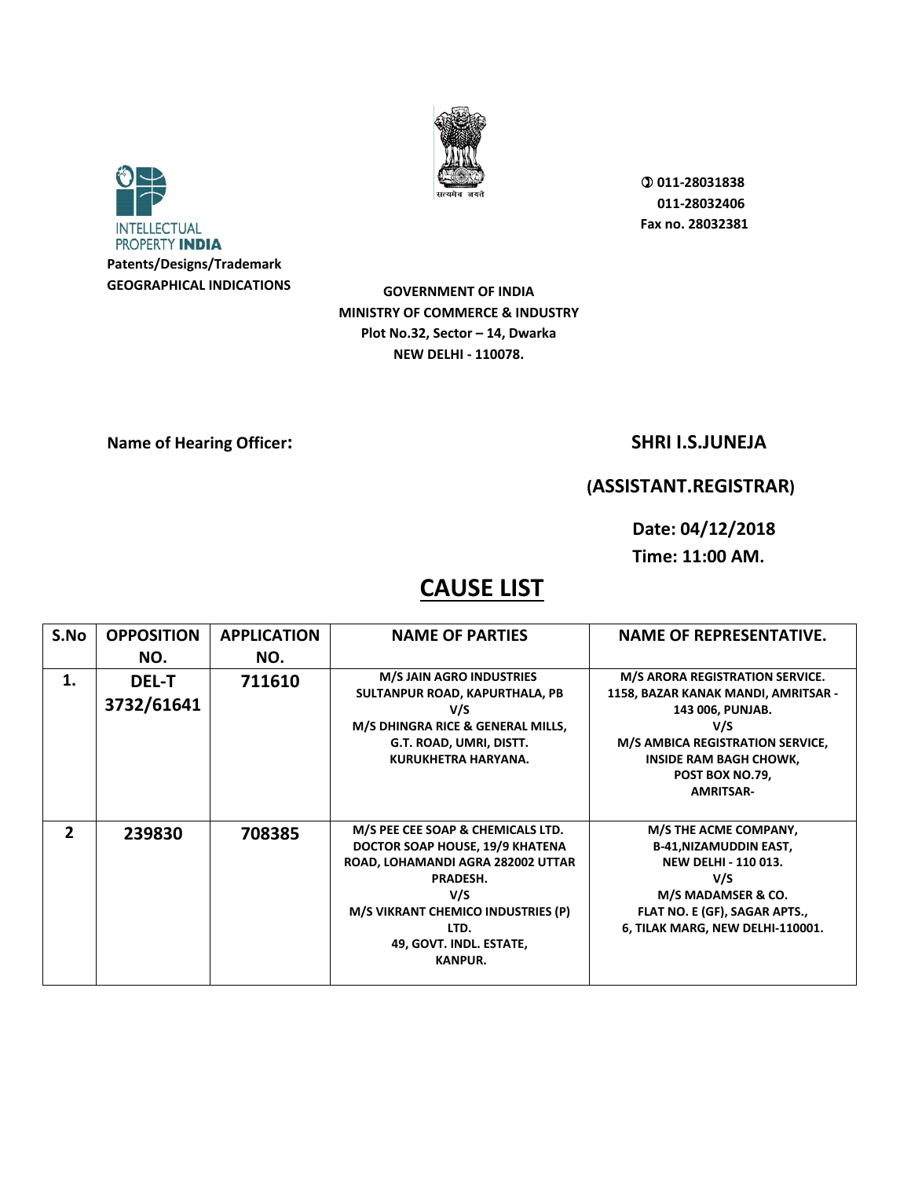



**GOVERNMENT OF INDIA MINISTRY OF COMMERCE & INDUSTRY Plot No.32, Sector – 14, Dwarka NEW DELHI - 110078.** 

### **Name of Hearing Officer:** SHRI I.S.JUNEJA

## **(ASSISTANT.REGISTRAR)**

**Date: 04/12/2018 Time: 11:00 AM.** 

| S.No           | <b>OPPOSITION</b>          | <b>APPLICATION</b> | <b>NAME OF PARTIES</b>                                                                                                                                                                                                  | <b>NAME OF REPRESENTATIVE.</b>                                                                                                                                                                                |
|----------------|----------------------------|--------------------|-------------------------------------------------------------------------------------------------------------------------------------------------------------------------------------------------------------------------|---------------------------------------------------------------------------------------------------------------------------------------------------------------------------------------------------------------|
|                | NO.                        | NO.                |                                                                                                                                                                                                                         |                                                                                                                                                                                                               |
| 1.             | <b>DEL-T</b><br>3732/61641 | 711610             | <b>M/S JAIN AGRO INDUSTRIES</b><br>SULTANPUR ROAD, KAPURTHALA, PB<br>V/S<br>M/S DHINGRA RICE & GENERAL MILLS,<br>G.T. ROAD, UMRI, DISTT.<br>KURUKHETRA HARYANA.                                                         | M/S ARORA REGISTRATION SERVICE.<br>1158, BAZAR KANAK MANDI, AMRITSAR -<br>143 006, PUNJAB.<br>V/S<br>M/S AMBICA REGISTRATION SERVICE,<br><b>INSIDE RAM BAGH CHOWK,</b><br>POST BOX NO.79,<br><b>AMRITSAR-</b> |
| $\overline{2}$ | 239830                     | 708385             | M/S PEE CEE SOAP & CHEMICALS LTD.<br>DOCTOR SOAP HOUSE, 19/9 KHATENA<br>ROAD, LOHAMANDI AGRA 282002 UTTAR<br>PRADESH.<br>V/S<br>M/S VIKRANT CHEMICO INDUSTRIES (P)<br>LTD.<br>49, GOVT. INDL. ESTATE,<br><b>KANPUR.</b> | M/S THE ACME COMPANY,<br><b>B-41, NIZAMUDDIN EAST,</b><br><b>NEW DELHI - 110 013.</b><br>V/S<br>M/S MADAMSER & CO.<br>FLAT NO. E (GF), SAGAR APTS.,<br>6, TILAK MARG, NEW DELHI-110001.                       |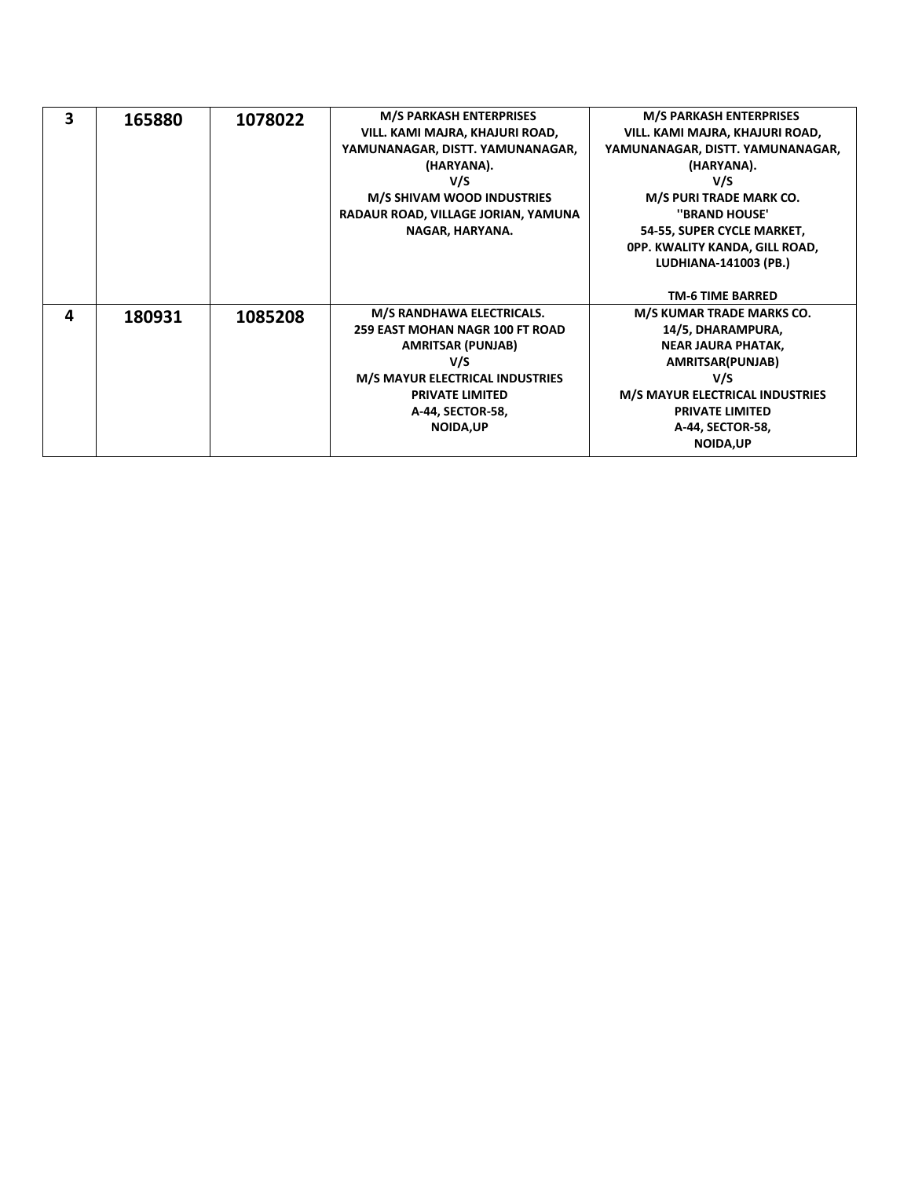| 3 | 165880 | 1078022 | <b>M/S PARKASH ENTERPRISES</b><br>VILL. KAMI MAJRA, KHAJURI ROAD,<br>YAMUNANAGAR, DISTT. YAMUNANAGAR,<br>(HARYANA).<br>V/S<br><b>M/S SHIVAM WOOD INDUSTRIES</b><br>RADAUR ROAD, VILLAGE JORIAN, YAMUNA<br>NAGAR, HARYANA. | <b>M/S PARKASH ENTERPRISES</b><br>VILL. KAMI MAJRA, KHAJURI ROAD,<br>YAMUNANAGAR, DISTT. YAMUNANAGAR,<br>(HARYANA).<br>V/S<br><b>M/S PURI TRADE MARK CO.</b><br>"BRAND HOUSE"<br>54-55, SUPER CYCLE MARKET,<br>OPP. KWALITY KANDA, GILL ROAD,<br>LUDHIANA-141003 (PB.)<br><b>TM-6 TIME BARRED</b> |
|---|--------|---------|---------------------------------------------------------------------------------------------------------------------------------------------------------------------------------------------------------------------------|---------------------------------------------------------------------------------------------------------------------------------------------------------------------------------------------------------------------------------------------------------------------------------------------------|
| 4 | 180931 | 1085208 | M/S RANDHAWA ELECTRICALS.<br><b>259 EAST MOHAN NAGR 100 FT ROAD</b><br><b>AMRITSAR (PUNJAB)</b><br>V/S<br><b>M/S MAYUR ELECTRICAL INDUSTRIES</b><br><b>PRIVATE LIMITED</b><br>A-44, SECTOR-58,<br><b>NOIDA, UP</b>        | M/S KUMAR TRADE MARKS CO.<br>14/5, DHARAMPURA,<br><b>NEAR JAURA PHATAK,</b><br>AMRITSAR(PUNJAB)<br>V/S<br><b>M/S MAYUR ELECTRICAL INDUSTRIES</b><br><b>PRIVATE LIMITED</b><br>A-44, SECTOR-58,<br><b>NOIDA, UP</b>                                                                                |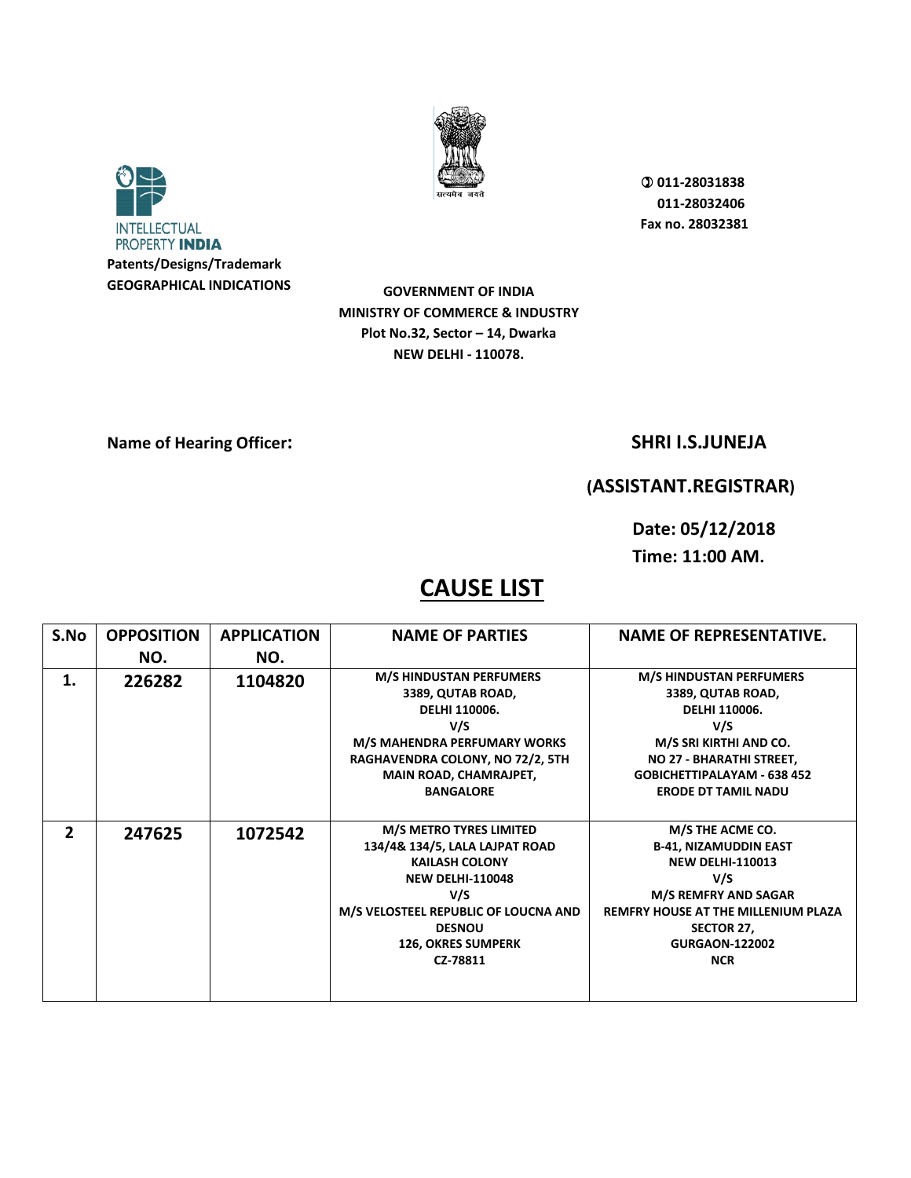



**GOVERNMENT OF INDIA MINISTRY OF COMMERCE & INDUSTRY Plot No.32, Sector – 14, Dwarka NEW DELHI - 110078.** 

**Name of Hearing Officer:** SHRI I.S.JUNEJA

## **(ASSISTANT.REGISTRAR)**

**Date: 05/12/2018 Time: 11:00 AM.** 

| S.No           | <b>OPPOSITION</b> | <b>APPLICATION</b> | <b>NAME OF PARTIES</b>                                                                                                                                                                                                        | <b>NAME OF REPRESENTATIVE.</b>                                                                                                                                                                                       |
|----------------|-------------------|--------------------|-------------------------------------------------------------------------------------------------------------------------------------------------------------------------------------------------------------------------------|----------------------------------------------------------------------------------------------------------------------------------------------------------------------------------------------------------------------|
|                | NO.               | NO.                |                                                                                                                                                                                                                               |                                                                                                                                                                                                                      |
| 1.             | 226282            | 1104820            | <b>M/S HINDUSTAN PERFUMERS</b><br>3389, QUTAB ROAD,<br><b>DELHI 110006.</b><br>V/S<br>M/S MAHENDRA PERFUMARY WORKS<br>RAGHAVENDRA COLONY, NO 72/2, 5TH<br>MAIN ROAD, CHAMRAJPET,<br><b>BANGALORE</b>                          | <b>M/S HINDUSTAN PERFUMERS</b><br>3389, QUTAB ROAD,<br>DELHI 110006.<br>V/S<br>M/S SRI KIRTHI AND CO.<br>NO 27 - BHARATHI STREET,<br><b>GOBICHETTIPALAYAM - 638 452</b><br><b>ERODE DT TAMIL NADU</b>                |
| $\overline{2}$ | 247625            | 1072542            | <b>M/S METRO TYRES LIMITED</b><br>134/4& 134/5, LALA LAJPAT ROAD<br><b>KAILASH COLONY</b><br><b>NEW DELHI-110048</b><br>V/S<br>M/S VELOSTEEL REPUBLIC OF LOUCNA AND<br><b>DESNOU</b><br><b>126, OKRES SUMPERK</b><br>CZ-78811 | M/S THE ACME CO.<br><b>B-41, NIZAMUDDIN EAST</b><br><b>NEW DELHI-110013</b><br>V/S<br><b>M/S REMFRY AND SAGAR</b><br><b>REMFRY HOUSE AT THE MILLENIUM PLAZA</b><br>SECTOR 27,<br><b>GURGAON-122002</b><br><b>NCR</b> |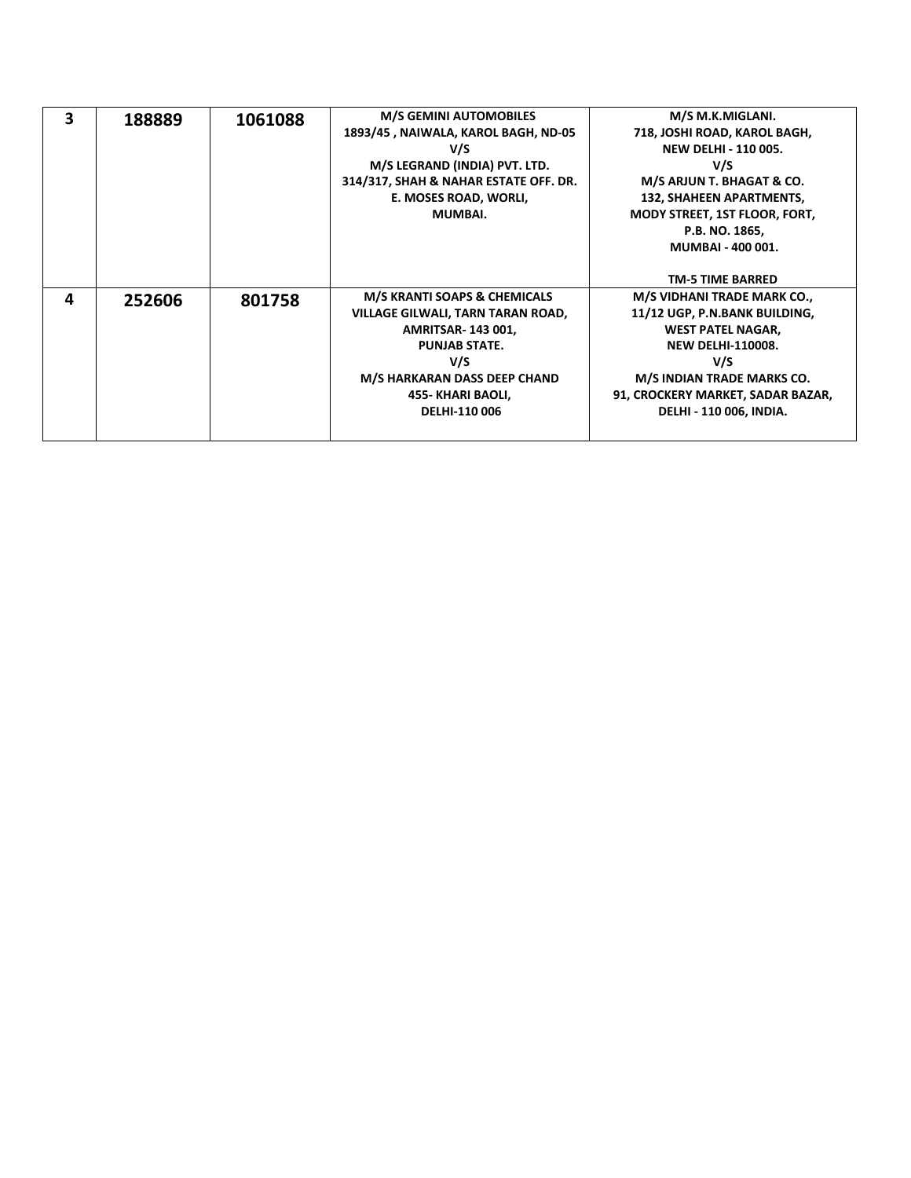| 3 | 188889 | 1061088 | <b>M/S GEMINI AUTOMOBILES</b>           | M/S M.K.MIGLANI.                     |
|---|--------|---------|-----------------------------------------|--------------------------------------|
|   |        |         | 1893/45, NAIWALA, KAROL BAGH, ND-05     | 718, JOSHI ROAD, KAROL BAGH,         |
|   |        |         | V/S                                     | <b>NEW DELHI - 110 005.</b>          |
|   |        |         | M/S LEGRAND (INDIA) PVT. LTD.           | V/S                                  |
|   |        |         | 314/317, SHAH & NAHAR ESTATE OFF. DR.   | M/S ARJUN T. BHAGAT & CO.            |
|   |        |         | E. MOSES ROAD, WORLI,                   | 132, SHAHEEN APARTMENTS,             |
|   |        |         | MUMBAI.                                 | <b>MODY STREET, 1ST FLOOR, FORT,</b> |
|   |        |         |                                         | P.B. NO. 1865,                       |
|   |        |         |                                         | <b>MUMBAI - 400 001.</b>             |
|   |        |         |                                         |                                      |
|   |        |         |                                         | <b>TM-5 TIME BARRED</b>              |
| 4 | 252606 | 801758  | <b>M/S KRANTI SOAPS &amp; CHEMICALS</b> | M/S VIDHANI TRADE MARK CO.,          |
|   |        |         | VILLAGE GILWALI, TARN TARAN ROAD,       | 11/12 UGP, P.N.BANK BUILDING,        |
|   |        |         | <b>AMRITSAR-143001,</b>                 | <b>WEST PATEL NAGAR,</b>             |
|   |        |         | <b>PUNJAB STATE.</b>                    | <b>NEW DELHI-110008.</b>             |
|   |        |         | V/S                                     | V/S                                  |
|   |        |         | M/S HARKARAN DASS DEEP CHAND            | M/S INDIAN TRADE MARKS CO.           |
|   |        |         | 455- KHARI BAOLI,                       | 91, CROCKERY MARKET, SADAR BAZAR,    |
|   |        |         | DELHI-110 006                           | <b>DELHI - 110 006, INDIA.</b>       |
|   |        |         |                                         |                                      |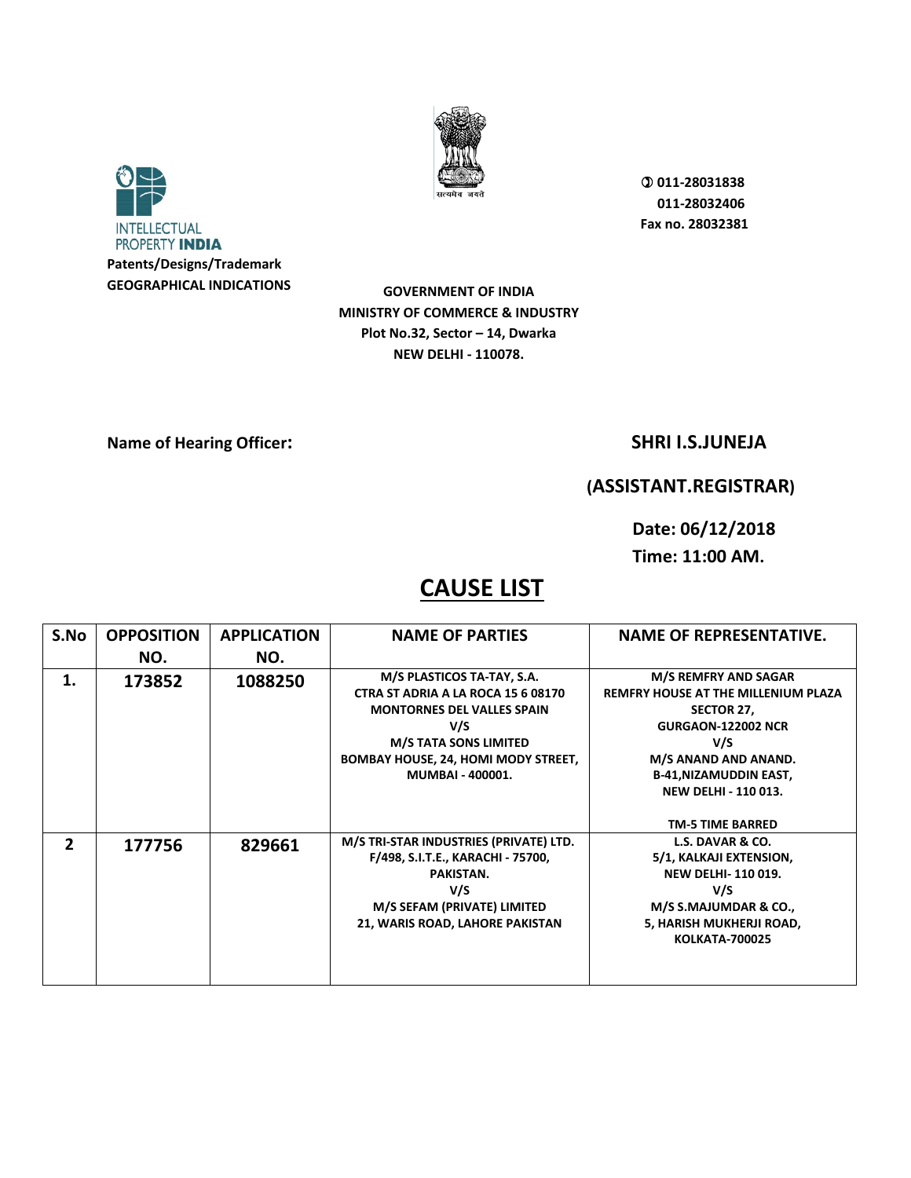



**GOVERNMENT OF INDIA MINISTRY OF COMMERCE & INDUSTRY Plot No.32, Sector – 14, Dwarka NEW DELHI - 110078.** 

**Name of Hearing Officer:** SHRI I.S.JUNEJA

## **(ASSISTANT.REGISTRAR)**

**Date: 06/12/2018 Time: 11:00 AM.** 

| S.No           | <b>OPPOSITION</b> | <b>APPLICATION</b> | <b>NAME OF PARTIES</b>                                                                                                                                                                                                | <b>NAME OF REPRESENTATIVE.</b>                                                                                                                                                                                                          |
|----------------|-------------------|--------------------|-----------------------------------------------------------------------------------------------------------------------------------------------------------------------------------------------------------------------|-----------------------------------------------------------------------------------------------------------------------------------------------------------------------------------------------------------------------------------------|
|                | NO.               | NO.                |                                                                                                                                                                                                                       |                                                                                                                                                                                                                                         |
| 1.             | 173852            | 1088250            | M/S PLASTICOS TA-TAY, S.A.<br>CTRA ST ADRIA A LA ROCA 15 6 08170<br><b>MONTORNES DEL VALLES SPAIN</b><br>V/S<br><b>M/S TATA SONS LIMITED</b><br><b>BOMBAY HOUSE, 24, HOMI MODY STREET,</b><br><b>MUMBAI - 400001.</b> | M/S REMFRY AND SAGAR<br><b>REMFRY HOUSE AT THE MILLENIUM PLAZA</b><br>SECTOR 27,<br><b>GURGAON-122002 NCR</b><br>V/S<br>M/S ANAND AND ANAND.<br><b>B-41, NIZAMUDDIN EAST,</b><br><b>NEW DELHI - 110 013.</b><br><b>TM-5 TIME BARRED</b> |
| $\overline{2}$ | 177756            | 829661             | M/S TRI-STAR INDUSTRIES (PRIVATE) LTD.<br>F/498, S.I.T.E., KARACHI - 75700,<br>PAKISTAN.<br>V/S<br>M/S SEFAM (PRIVATE) LIMITED<br>21, WARIS ROAD, LAHORE PAKISTAN                                                     | L.S. DAVAR & CO.<br>5/1, KALKAJI EXTENSION,<br><b>NEW DELHI-110019.</b><br>V/S<br>M/S S.MAJUMDAR & CO.,<br>5, HARISH MUKHERJI ROAD,<br><b>KOLKATA-700025</b>                                                                            |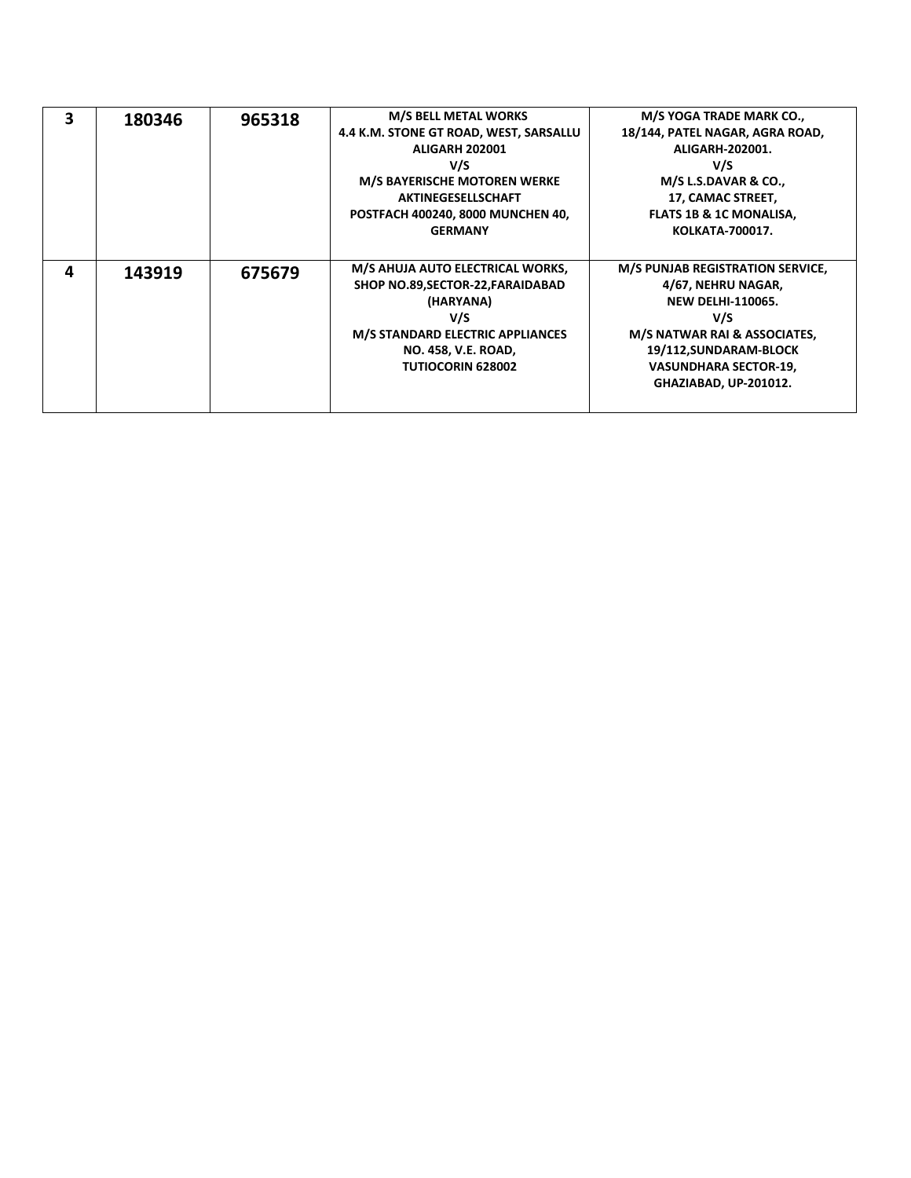| 3 | 180346 | 965318 | <b>M/S BELL METAL WORKS</b>             | M/S YOGA TRADE MARK CO.,                |
|---|--------|--------|-----------------------------------------|-----------------------------------------|
|   |        |        | 4.4 K.M. STONE GT ROAD, WEST, SARSALLU  | 18/144, PATEL NAGAR, AGRA ROAD,         |
|   |        |        | <b>ALIGARH 202001</b>                   | ALIGARH-202001.                         |
|   |        |        | V/S                                     | V/S                                     |
|   |        |        | <b>M/S BAYERISCHE MOTOREN WERKE</b>     | M/S L.S.DAVAR & CO.,                    |
|   |        |        | <b>AKTINEGESELLSCHAFT</b>               | 17, CAMAC STREET,                       |
|   |        |        | POSTFACH 400240, 8000 MUNCHEN 40,       | <b>FLATS 1B &amp; 1C MONALISA,</b>      |
|   |        |        | <b>GERMANY</b>                          | <b>KOLKATA-700017.</b>                  |
|   |        |        |                                         |                                         |
| 4 | 143919 | 675679 | M/S AHUJA AUTO ELECTRICAL WORKS,        | <b>M/S PUNJAB REGISTRATION SERVICE,</b> |
|   |        |        | SHOP NO.89, SECTOR-22, FARAIDABAD       | 4/67, NEHRU NAGAR,                      |
|   |        |        | (HARYANA)                               | <b>NEW DELHI-110065.</b>                |
|   |        |        | V/S                                     | V/S                                     |
|   |        |        | <b>M/S STANDARD ELECTRIC APPLIANCES</b> | M/S NATWAR RAI & ASSOCIATES,            |
|   |        |        | <b>NO. 458, V.E. ROAD,</b>              | 19/112, SUNDARAM-BLOCK                  |
|   |        |        | <b>TUTIOCORIN 628002</b>                | <b>VASUNDHARA SECTOR-19,</b>            |
|   |        |        |                                         | GHAZIABAD, UP-201012.                   |
|   |        |        |                                         |                                         |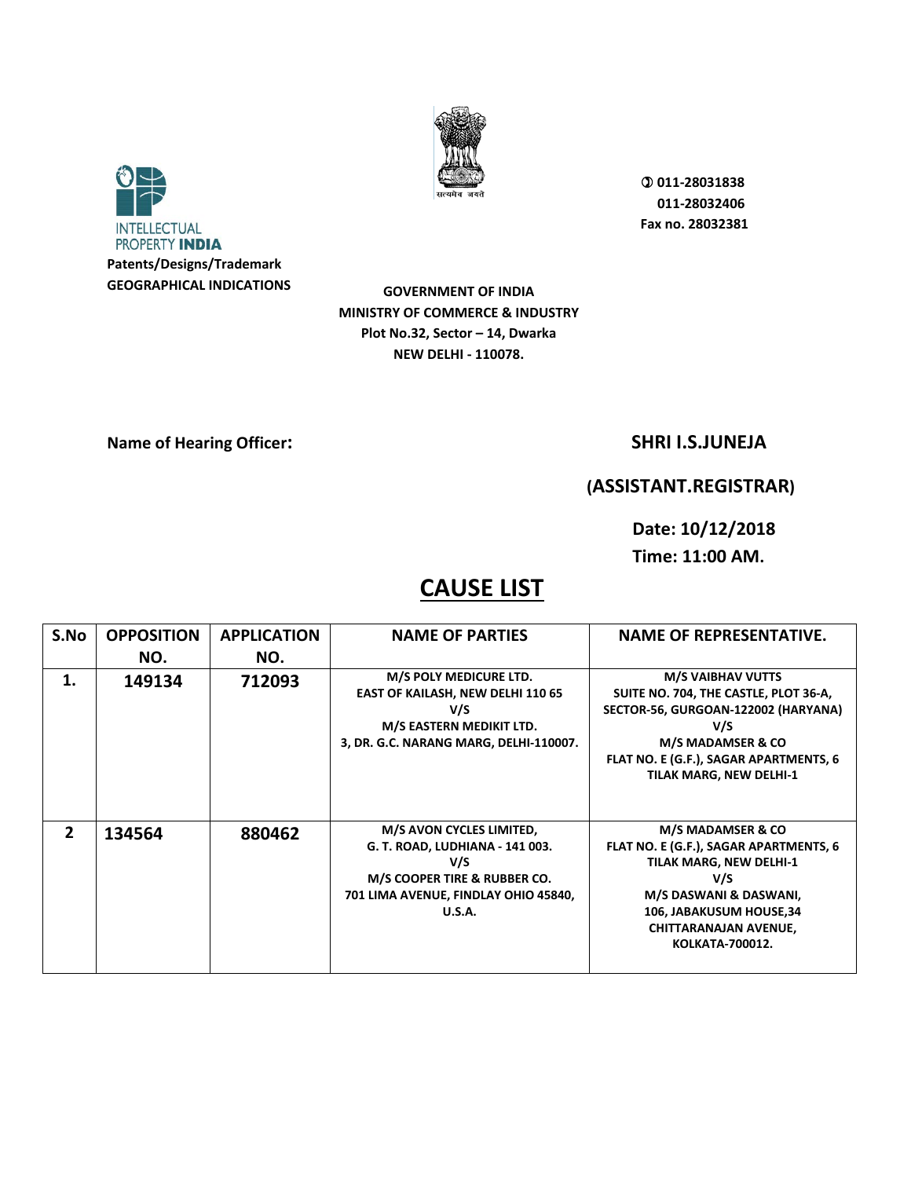



**GOVERNMENT OF INDIA MINISTRY OF COMMERCE & INDUSTRY Plot No.32, Sector – 14, Dwarka NEW DELHI - 110078.** 

**Name of Hearing Officer:** SHRI I.S.JUNEJA

## **(ASSISTANT.REGISTRAR)**

**Date: 10/12/2018 Time: 11:00 AM.** 

| S.No           | <b>OPPOSITION</b> | <b>APPLICATION</b> | <b>NAME OF PARTIES</b>                                                                                                                                      | <b>NAME OF REPRESENTATIVE.</b>                                                                                                                                                                                       |
|----------------|-------------------|--------------------|-------------------------------------------------------------------------------------------------------------------------------------------------------------|----------------------------------------------------------------------------------------------------------------------------------------------------------------------------------------------------------------------|
|                | NO.               | NO.                |                                                                                                                                                             |                                                                                                                                                                                                                      |
| 1.             | 149134            | 712093             | M/S POLY MEDICURE LTD.<br><b>EAST OF KAILASH, NEW DELHI 110 65</b><br>V/S<br>M/S EASTERN MEDIKIT LTD.<br>3, DR. G.C. NARANG MARG, DELHI-110007.             | <b>M/S VAIBHAV VUTTS</b><br>SUITE NO. 704, THE CASTLE, PLOT 36-A,<br>SECTOR-56, GURGOAN-122002 (HARYANA)<br>V/S<br>M/S MADAMSER & CO<br>FLAT NO. E (G.F.), SAGAR APARTMENTS, 6<br><b>TILAK MARG, NEW DELHI-1</b>     |
| $\overline{2}$ | 134564            | 880462             | M/S AVON CYCLES LIMITED,<br>G. T. ROAD, LUDHIANA - 141 003.<br>V/S<br>M/S COOPER TIRE & RUBBER CO.<br>701 LIMA AVENUE, FINDLAY OHIO 45840,<br><b>U.S.A.</b> | M/S MADAMSER & CO<br>FLAT NO. E (G.F.), SAGAR APARTMENTS, 6<br><b>TILAK MARG, NEW DELHI-1</b><br>V/S<br>M/S DASWANI & DASWANI,<br>106, JABAKUSUM HOUSE, 34<br><b>CHITTARANAJAN AVENUE,</b><br><b>KOLKATA-700012.</b> |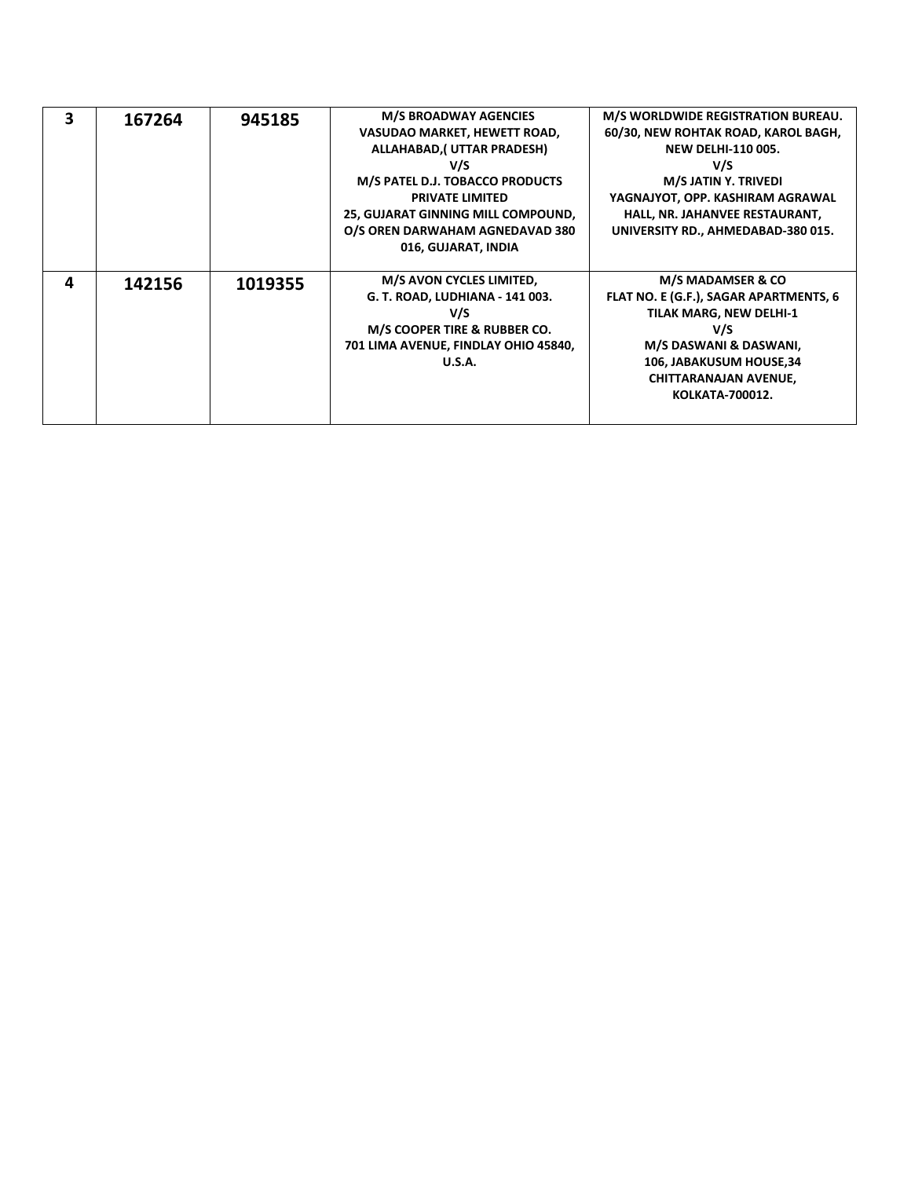| 3 | 167264 | 945185  | <b>M/S BROADWAY AGENCIES</b>         | M/S WORLDWIDE REGISTRATION BUREAU.     |
|---|--------|---------|--------------------------------------|----------------------------------------|
|   |        |         | VASUDAO MARKET, HEWETT ROAD,         | 60/30, NEW ROHTAK ROAD, KAROL BAGH,    |
|   |        |         | ALLAHABAD,(UTTAR PRADESH)            | <b>NEW DELHI-110 005.</b>              |
|   |        |         | V/S                                  | V/S                                    |
|   |        |         | M/S PATEL D.J. TOBACCO PRODUCTS      | M/S JATIN Y. TRIVEDI                   |
|   |        |         | <b>PRIVATE LIMITED</b>               | YAGNAJYOT, OPP. KASHIRAM AGRAWAL       |
|   |        |         | 25, GUJARAT GINNING MILL COMPOUND,   | HALL, NR. JAHANVEE RESTAURANT,         |
|   |        |         | O/S OREN DARWAHAM AGNEDAVAD 380      | UNIVERSITY RD., AHMEDABAD-380 015.     |
|   |        |         | 016, GUJARAT, INDIA                  |                                        |
|   |        |         |                                      |                                        |
| 4 | 142156 | 1019355 | M/S AVON CYCLES LIMITED,             | M/S MADAMSER & CO                      |
|   |        |         | G. T. ROAD, LUDHIANA - 141 003.      | FLAT NO. E (G.F.), SAGAR APARTMENTS, 6 |
|   |        |         | V/S                                  | <b>TILAK MARG, NEW DELHI-1</b>         |
|   |        |         |                                      |                                        |
|   |        |         | M/S COOPER TIRE & RUBBER CO.         | V/S                                    |
|   |        |         | 701 LIMA AVENUE, FINDLAY OHIO 45840, | M/S DASWANI & DASWANI,                 |
|   |        |         | U.S.A.                               | 106, JABAKUSUM HOUSE, 34               |
|   |        |         |                                      | <b>CHITTARANAJAN AVENUE,</b>           |
|   |        |         |                                      | <b>KOLKATA-700012.</b>                 |
|   |        |         |                                      |                                        |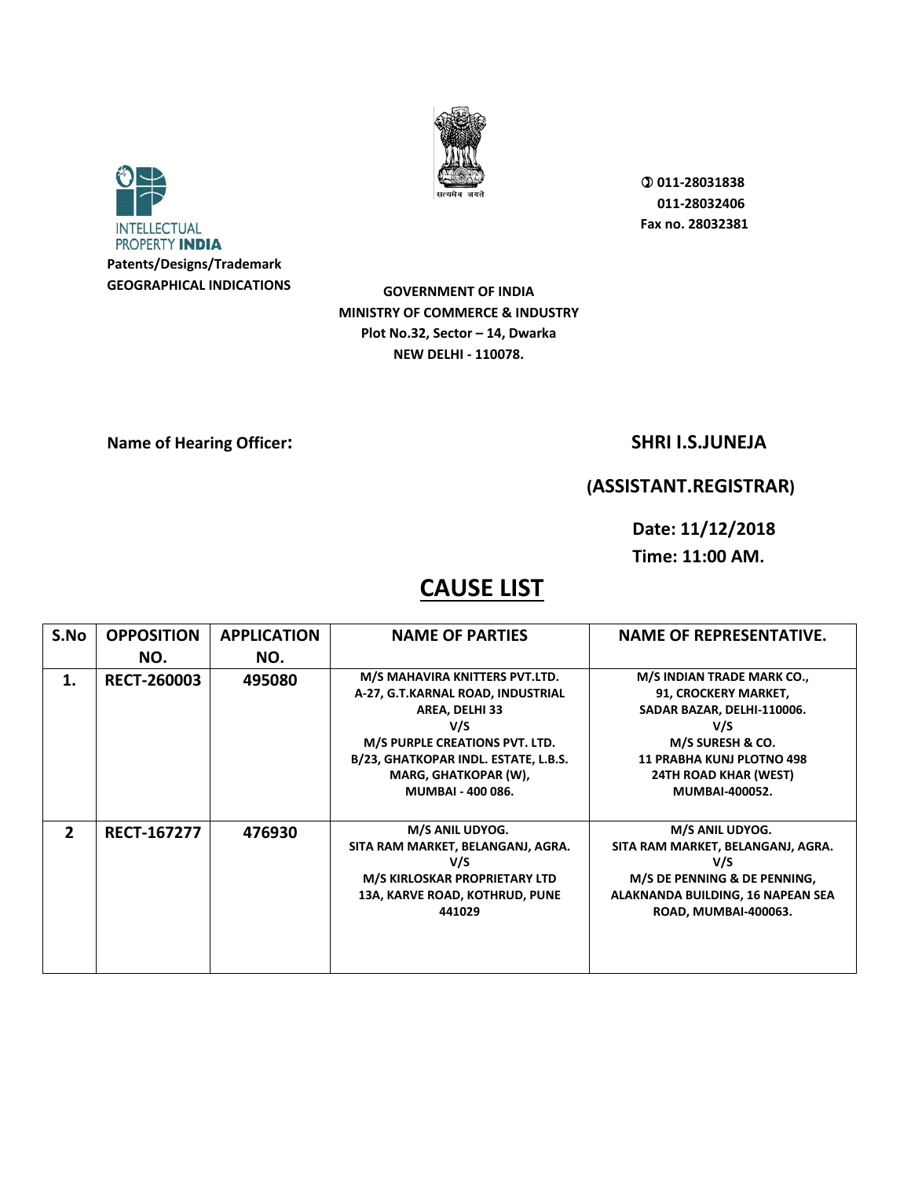



**GOVERNMENT OF INDIA MINISTRY OF COMMERCE & INDUSTRY Plot No.32, Sector – 14, Dwarka NEW DELHI - 110078.** 

**Name of Hearing Officer:** SHRI I.S.JUNEJA

## **(ASSISTANT.REGISTRAR)**

**Date: 11/12/2018 Time: 11:00 AM.** 

| S.No           | <b>OPPOSITION</b>  | <b>APPLICATION</b> | <b>NAME OF PARTIES</b>                                                                                                                                                                                                     | <b>NAME OF REPRESENTATIVE.</b>                                                                                                                                                                           |
|----------------|--------------------|--------------------|----------------------------------------------------------------------------------------------------------------------------------------------------------------------------------------------------------------------------|----------------------------------------------------------------------------------------------------------------------------------------------------------------------------------------------------------|
|                | NO.                | NO.                |                                                                                                                                                                                                                            |                                                                                                                                                                                                          |
| 1.             | <b>RECT-260003</b> | 495080             | M/S MAHAVIRA KNITTERS PVT.LTD.<br>A-27, G.T.KARNAL ROAD, INDUSTRIAL<br>AREA, DELHI 33<br>V/S<br>M/S PURPLE CREATIONS PVT. LTD.<br>B/23, GHATKOPAR INDL. ESTATE, L.B.S.<br>MARG, GHATKOPAR (W),<br><b>MUMBAI - 400 086.</b> | M/S INDIAN TRADE MARK CO.,<br>91, CROCKERY MARKET,<br>SADAR BAZAR, DELHI-110006.<br>V/S<br>M/S SURESH & CO.<br><b>11 PRABHA KUNJ PLOTNO 498</b><br><b>24TH ROAD KHAR (WEST)</b><br><b>MUMBAI-400052.</b> |
| $\overline{2}$ | <b>RECT-167277</b> | 476930             | M/S ANIL UDYOG.<br>SITA RAM MARKET, BELANGANJ, AGRA.<br>V/S<br>M/S KIRLOSKAR PROPRIETARY LTD<br>13A, KARVE ROAD, KOTHRUD, PUNE<br>441029                                                                                   | M/S ANIL UDYOG.<br>SITA RAM MARKET, BELANGANJ, AGRA.<br>V/S<br>M/S DE PENNING & DE PENNING,<br>ALAKNANDA BUILDING, 16 NAPEAN SEA<br>ROAD, MUMBAI-400063.                                                 |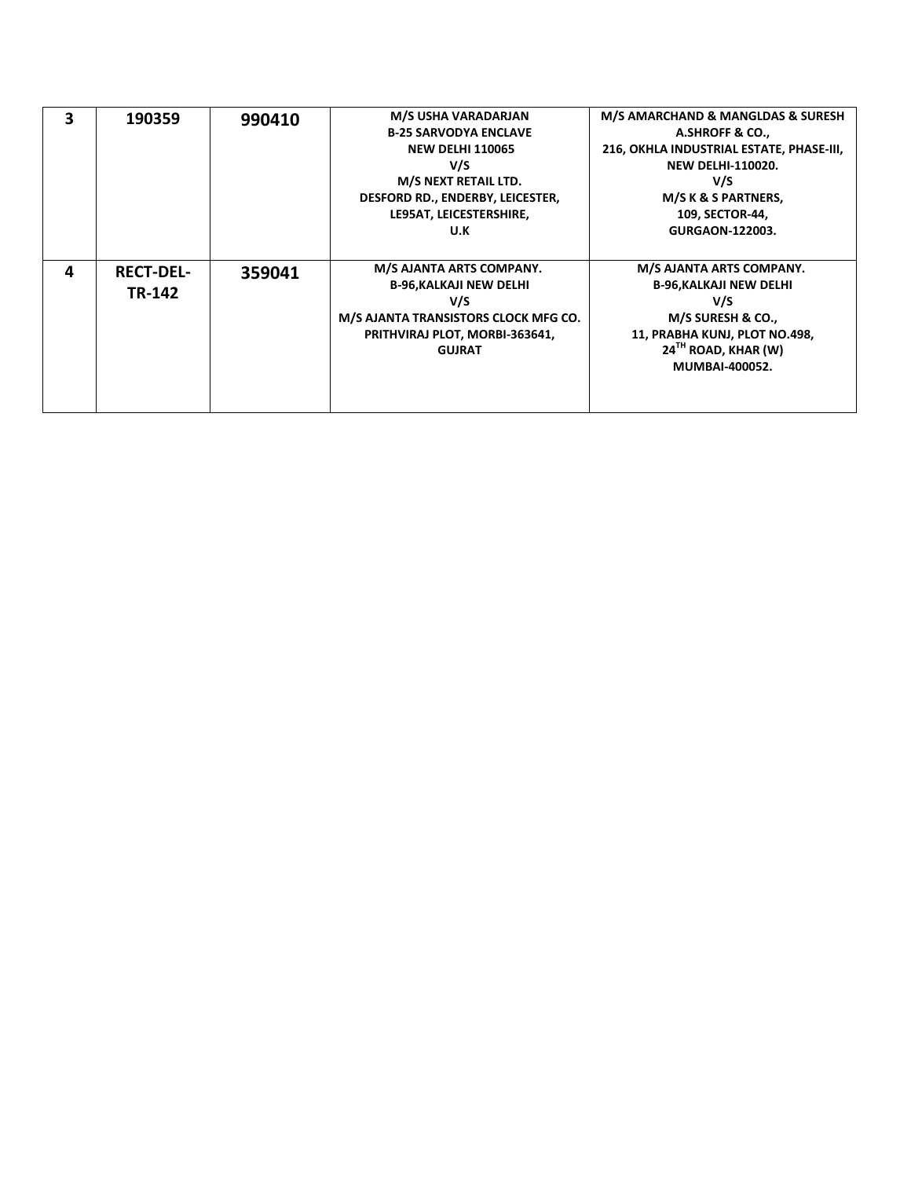| 3 | 190359           | 990410 | M/S USHA VARADARJAN                  | M/S AMARCHAND & MANGLDAS & SURESH        |
|---|------------------|--------|--------------------------------------|------------------------------------------|
|   |                  |        | <b>B-25 SARVODYA ENCLAVE</b>         | A.SHROFF & CO.,                          |
|   |                  |        | <b>NEW DELHI 110065</b>              | 216, OKHLA INDUSTRIAL ESTATE, PHASE-III, |
|   |                  |        | V/S                                  | <b>NEW DELHI-110020.</b>                 |
|   |                  |        | M/S NEXT RETAIL LTD.                 | V/S                                      |
|   |                  |        | DESFORD RD., ENDERBY, LEICESTER,     | M/S K & S PARTNERS,                      |
|   |                  |        | LE95AT, LEICESTERSHIRE,              | 109, SECTOR-44,                          |
|   |                  |        | U.K                                  | <b>GURGAON-122003.</b>                   |
|   |                  |        |                                      |                                          |
| Δ | <b>RECT-DEL-</b> | 359041 | M/S AJANTA ARTS COMPANY.             | M/S AJANTA ARTS COMPANY.                 |
|   | TR-142           |        | <b>B-96, KALKAJI NEW DELHI</b>       | <b>B-96, KALKAJI NEW DELHI</b>           |
|   |                  |        | V/S                                  | V/S                                      |
|   |                  |        | M/S AJANTA TRANSISTORS CLOCK MFG CO. | M/S SURESH & CO.,                        |
|   |                  |        | PRITHVIRAJ PLOT, MORBI-363641,       | 11, PRABHA KUNJ, PLOT NO.498,            |
|   |                  |        | <b>GUJRAT</b>                        | $24TH$ ROAD, KHAR (W)                    |
|   |                  |        |                                      | <b>MUMBAI-400052.</b>                    |
|   |                  |        |                                      |                                          |
|   |                  |        |                                      |                                          |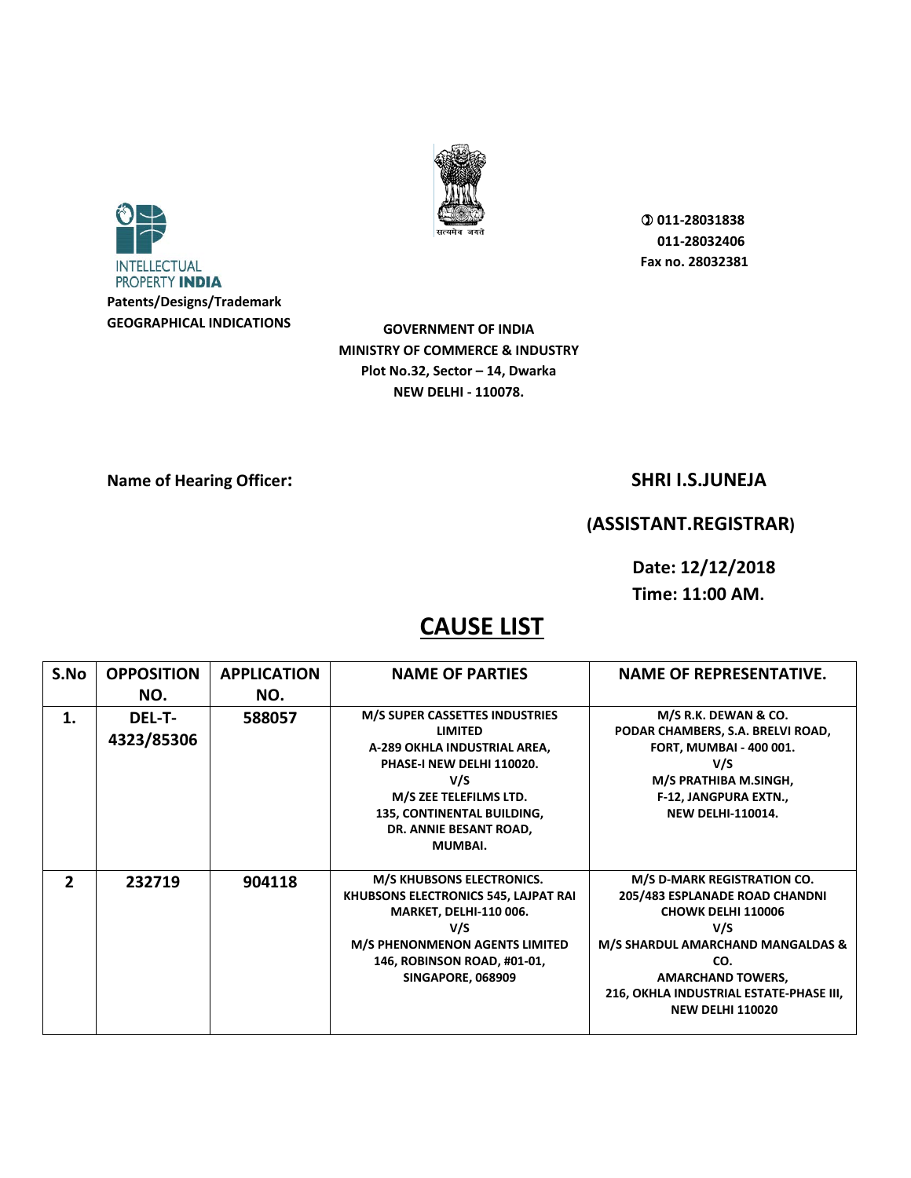



**GOVERNMENT OF INDIA MINISTRY OF COMMERCE & INDUSTRY Plot No.32, Sector – 14, Dwarka NEW DELHI - 110078.** 

### **Name of Hearing Officer:** SHRI I.S.JUNEJA

## **(ASSISTANT.REGISTRAR)**

**Date: 12/12/2018 Time: 11:00 AM.** 

| S.No           | <b>OPPOSITION</b>           | <b>APPLICATION</b> | <b>NAME OF PARTIES</b>                                                                                                                                                                                                          | <b>NAME OF REPRESENTATIVE.</b>                                                                                                                                                                                                                  |
|----------------|-----------------------------|--------------------|---------------------------------------------------------------------------------------------------------------------------------------------------------------------------------------------------------------------------------|-------------------------------------------------------------------------------------------------------------------------------------------------------------------------------------------------------------------------------------------------|
|                | NO.                         | NO.                |                                                                                                                                                                                                                                 |                                                                                                                                                                                                                                                 |
| 1.             | <b>DEL-T-</b><br>4323/85306 | 588057             | <b>M/S SUPER CASSETTES INDUSTRIES</b><br><b>LIMITED</b><br>A-289 OKHLA INDUSTRIAL AREA,<br>PHASE-I NEW DELHI 110020.<br>V/S<br>M/S ZEE TELEFILMS LTD.<br>135, CONTINENTAL BUILDING,<br>DR. ANNIE BESANT ROAD,<br><b>MUMBAI.</b> | M/S R.K. DEWAN & CO.<br>PODAR CHAMBERS, S.A. BRELVI ROAD,<br><b>FORT, MUMBAI - 400 001.</b><br>V/S<br>M/S PRATHIBA M.SINGH,<br>F-12, JANGPURA EXTN.,<br><b>NEW DELHI-110014.</b>                                                                |
| $\overline{2}$ | 232719                      | 904118             | M/S KHUBSONS ELECTRONICS.<br>KHUBSONS ELECTRONICS 545, LAJPAT RAI<br><b>MARKET, DELHI-110 006.</b><br>V/S<br>M/S PHENONMENON AGENTS LIMITED<br>146, ROBINSON ROAD, #01-01,<br><b>SINGAPORE, 068909</b>                          | M/S D-MARK REGISTRATION CO.<br>205/483 ESPLANADE ROAD CHANDNI<br><b>CHOWK DELHI 110006</b><br>V/S<br>M/S SHARDUL AMARCHAND MANGALDAS &<br>CO.<br><b>AMARCHAND TOWERS,</b><br>216, OKHLA INDUSTRIAL ESTATE-PHASE III,<br><b>NEW DELHI 110020</b> |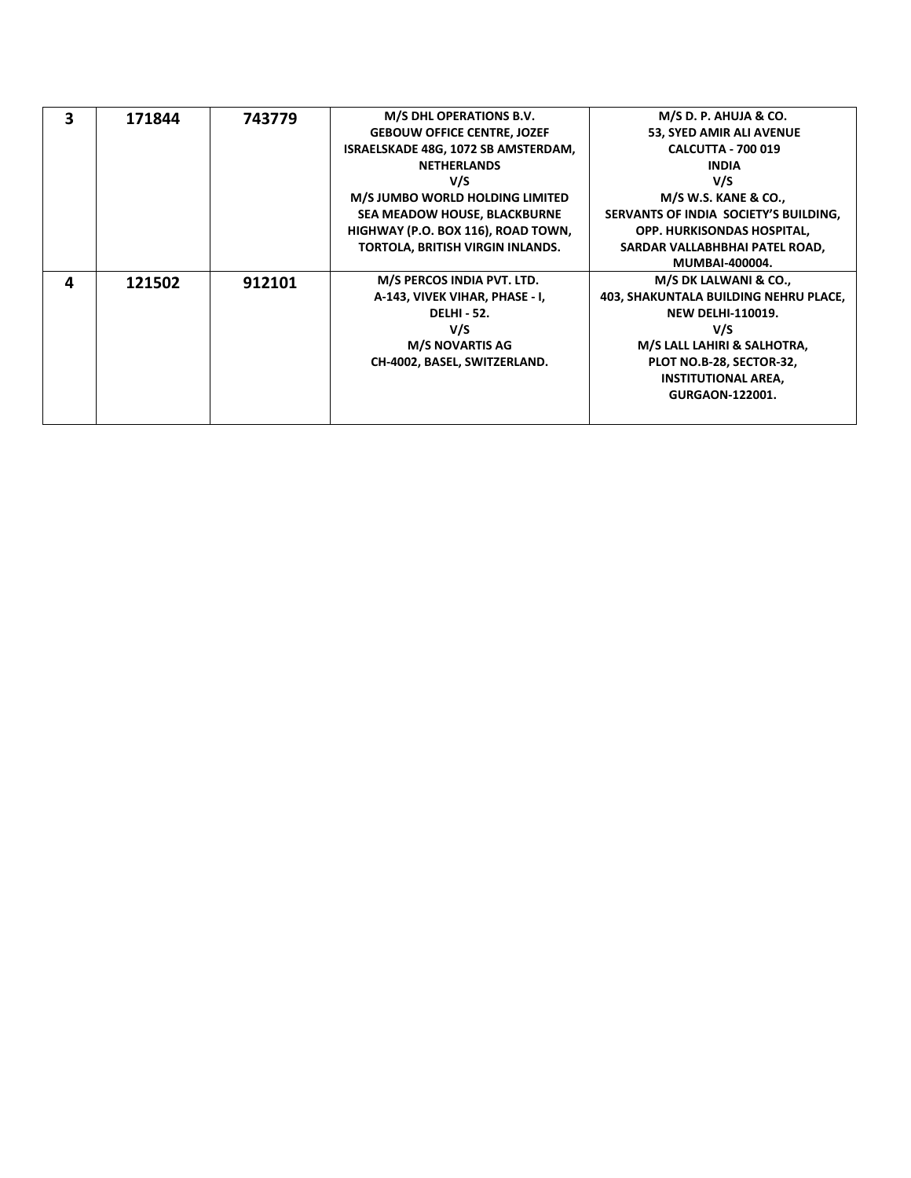| 3 | 171844 | 743779 | M/S DHL OPERATIONS B.V.             | M/S D. P. AHUJA & CO.                 |
|---|--------|--------|-------------------------------------|---------------------------------------|
|   |        |        | <b>GEBOUW OFFICE CENTRE, JOZEF</b>  | 53, SYED AMIR ALI AVENUE              |
|   |        |        | ISRAELSKADE 48G, 1072 SB AMSTERDAM, | <b>CALCUTTA - 700 019</b>             |
|   |        |        | <b>NETHERLANDS</b>                  | <b>INDIA</b>                          |
|   |        |        | V/S                                 | V/S                                   |
|   |        |        | M/S JUMBO WORLD HOLDING LIMITED     | <b>M/S W.S. KANE &amp; CO.,</b>       |
|   |        |        | SEA MEADOW HOUSE, BLACKBURNE        | SERVANTS OF INDIA SOCIETY'S BUILDING, |
|   |        |        | HIGHWAY (P.O. BOX 116), ROAD TOWN,  | <b>OPP. HURKISONDAS HOSPITAL,</b>     |
|   |        |        | TORTOLA, BRITISH VIRGIN INLANDS.    | SARDAR VALLABHBHAI PATEL ROAD,        |
|   |        |        |                                     | <b>MUMBAI-400004.</b>                 |
| 4 | 121502 | 912101 | M/S PERCOS INDIA PVT. LTD.          | M/S DK LALWANI & CO.,                 |
|   |        |        | A-143, VIVEK VIHAR, PHASE - I,      | 403, SHAKUNTALA BUILDING NEHRU PLACE, |
|   |        |        | <b>DELHI - 52.</b>                  | <b>NEW DELHI-110019.</b>              |
|   |        |        | V/S                                 | V/S                                   |
|   |        |        | <b>M/S NOVARTIS AG</b>              | M/S LALL LAHIRI & SALHOTRA,           |
|   |        |        | CH-4002, BASEL, SWITZERLAND.        | PLOT NO.B-28, SECTOR-32,              |
|   |        |        |                                     | <b>INSTITUTIONAL AREA,</b>            |
|   |        |        |                                     | <b>GURGAON-122001.</b>                |
|   |        |        |                                     |                                       |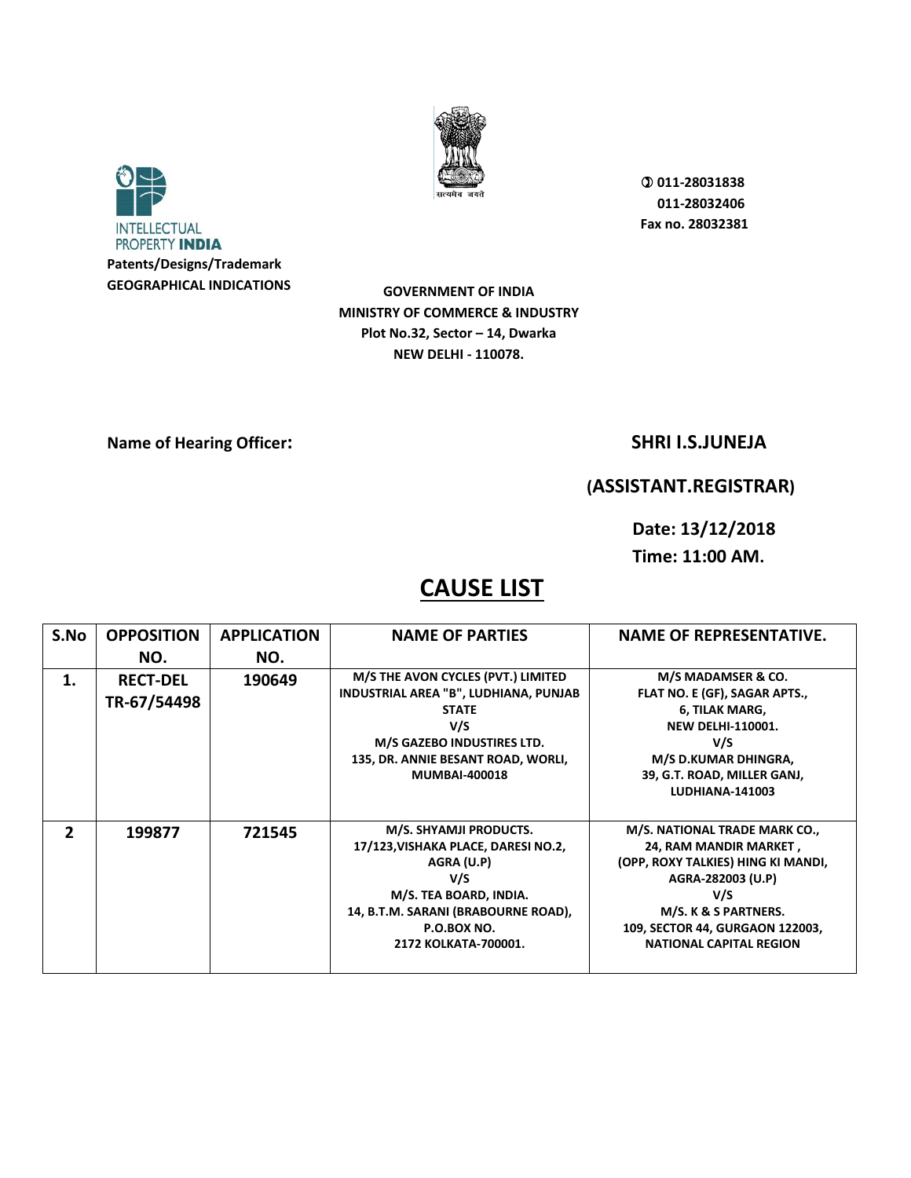



**GOVERNMENT OF INDIA MINISTRY OF COMMERCE & INDUSTRY Plot No.32, Sector – 14, Dwarka NEW DELHI - 110078.** 

**Name of Hearing Officer:** SHRI I.S.JUNEJA

## **(ASSISTANT.REGISTRAR)**

**Date: 13/12/2018 Time: 11:00 AM.** 

| S.No         | <b>OPPOSITION</b><br>NO.       | <b>APPLICATION</b><br>NO. | <b>NAME OF PARTIES</b>                                                                                                                                                                         | <b>NAME OF REPRESENTATIVE.</b>                                                                                                                                                                                         |
|--------------|--------------------------------|---------------------------|------------------------------------------------------------------------------------------------------------------------------------------------------------------------------------------------|------------------------------------------------------------------------------------------------------------------------------------------------------------------------------------------------------------------------|
| 1.           | <b>RECT-DEL</b><br>TR-67/54498 | 190649                    | M/S THE AVON CYCLES (PVT.) LIMITED<br>INDUSTRIAL AREA "B", LUDHIANA, PUNJAB<br><b>STATE</b><br>V/S<br>M/S GAZEBO INDUSTIRES LTD.<br>135, DR. ANNIE BESANT ROAD, WORLI,<br><b>MUMBAI-400018</b> | M/S MADAMSER & CO.<br>FLAT NO. E (GF), SAGAR APTS.,<br>6, TILAK MARG,<br><b>NEW DELHI-110001.</b><br>V/S<br>M/S D.KUMAR DHINGRA,<br>39, G.T. ROAD, MILLER GANJ,<br><b>LUDHIANA-141003</b>                              |
| $\mathbf{2}$ | 199877                         | 721545                    | M/S. SHYAMJI PRODUCTS.<br>17/123, VISHAKA PLACE, DARESI NO.2,<br>AGRA (U.P)<br>V/S<br>M/S. TEA BOARD, INDIA.<br>14, B.T.M. SARANI (BRABOURNE ROAD),<br>P.O.BOX NO.<br>2172 KOLKATA-700001.     | M/S. NATIONAL TRADE MARK CO.,<br>24, RAM MANDIR MARKET,<br>(OPP, ROXY TALKIES) HING KI MANDI,<br>AGRA-282003 (U.P)<br>V/S<br>M/S. K & S PARTNERS.<br>109, SECTOR 44, GURGAON 122003,<br><b>NATIONAL CAPITAL REGION</b> |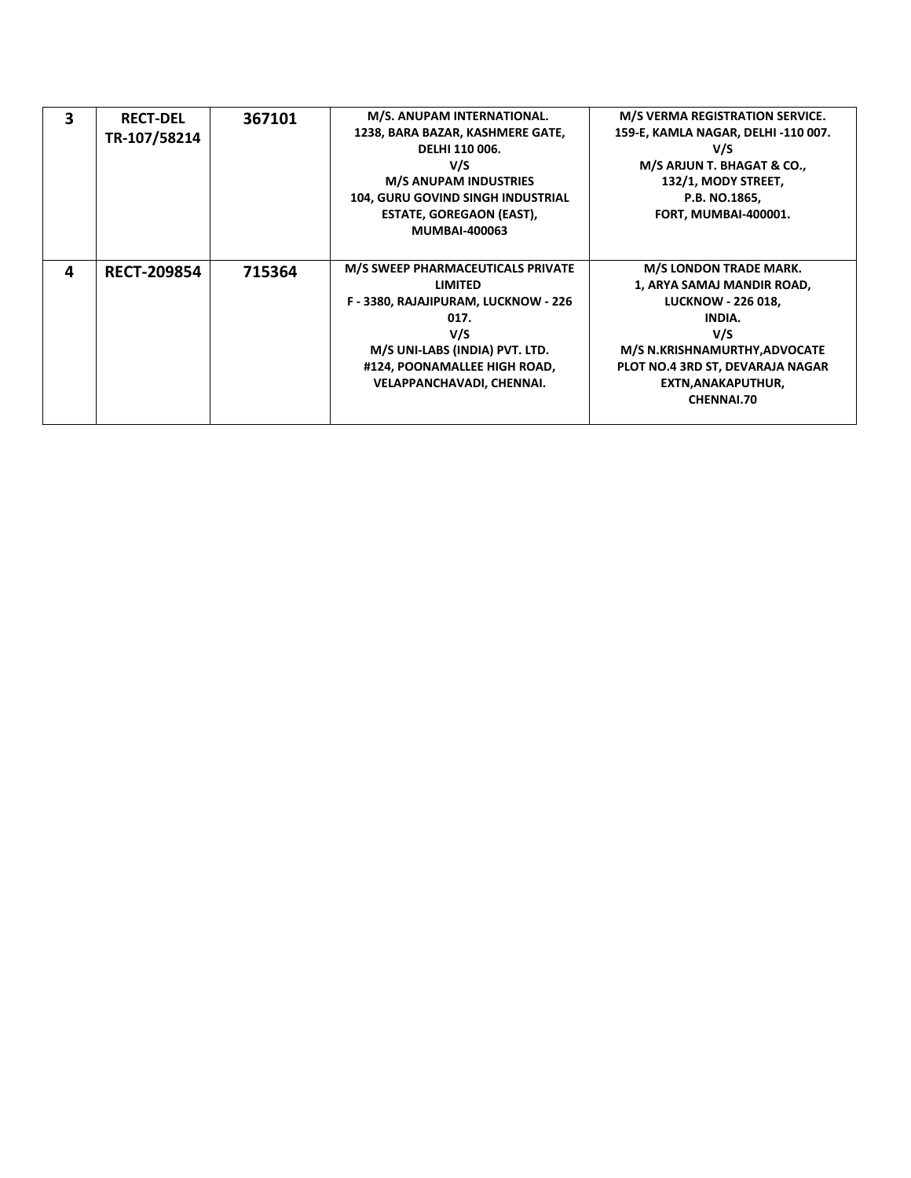| 3 | <b>RECT-DEL</b><br>TR-107/58214 | 367101 | M/S. ANUPAM INTERNATIONAL.<br>1238, BARA BAZAR, KASHMERE GATE,<br>DELHI 110 006.<br>V/S<br><b>M/S ANUPAM INDUSTRIES</b><br><b>104, GURU GOVIND SINGH INDUSTRIAL</b><br>ESTATE, GOREGAON (EAST),<br><b>MUMBAI-400063</b> | M/S VERMA REGISTRATION SERVICE.<br>159-E, KAMLA NAGAR, DELHI -110 007.<br>V/S<br>M/S ARJUN T. BHAGAT & CO.,<br>132/1, MODY STREET,<br>P.B. NO.1865,<br><b>FORT, MUMBAI-400001.</b>                                        |
|---|---------------------------------|--------|-------------------------------------------------------------------------------------------------------------------------------------------------------------------------------------------------------------------------|---------------------------------------------------------------------------------------------------------------------------------------------------------------------------------------------------------------------------|
| 4 | <b>RECT-209854</b>              | 715364 | M/S SWEEP PHARMACEUTICALS PRIVATE<br><b>LIMITED</b><br>F - 3380, RAJAJIPURAM, LUCKNOW - 226<br>017.<br>V/S<br>M/S UNI-LABS (INDIA) PVT. LTD.<br>#124, POONAMALLEE HIGH ROAD,<br>VELAPPANCHAVADI, CHENNAI.               | <b>M/S LONDON TRADE MARK.</b><br>1, ARYA SAMAJ MANDIR ROAD,<br><b>LUCKNOW - 226 018,</b><br>INDIA.<br>V/S<br>M/S N.KRISHNAMURTHY, ADVOCATE<br>PLOT NO.4 3RD ST, DEVARAJA NAGAR<br>EXTN, ANAKAPUTHUR,<br><b>CHENNAI.70</b> |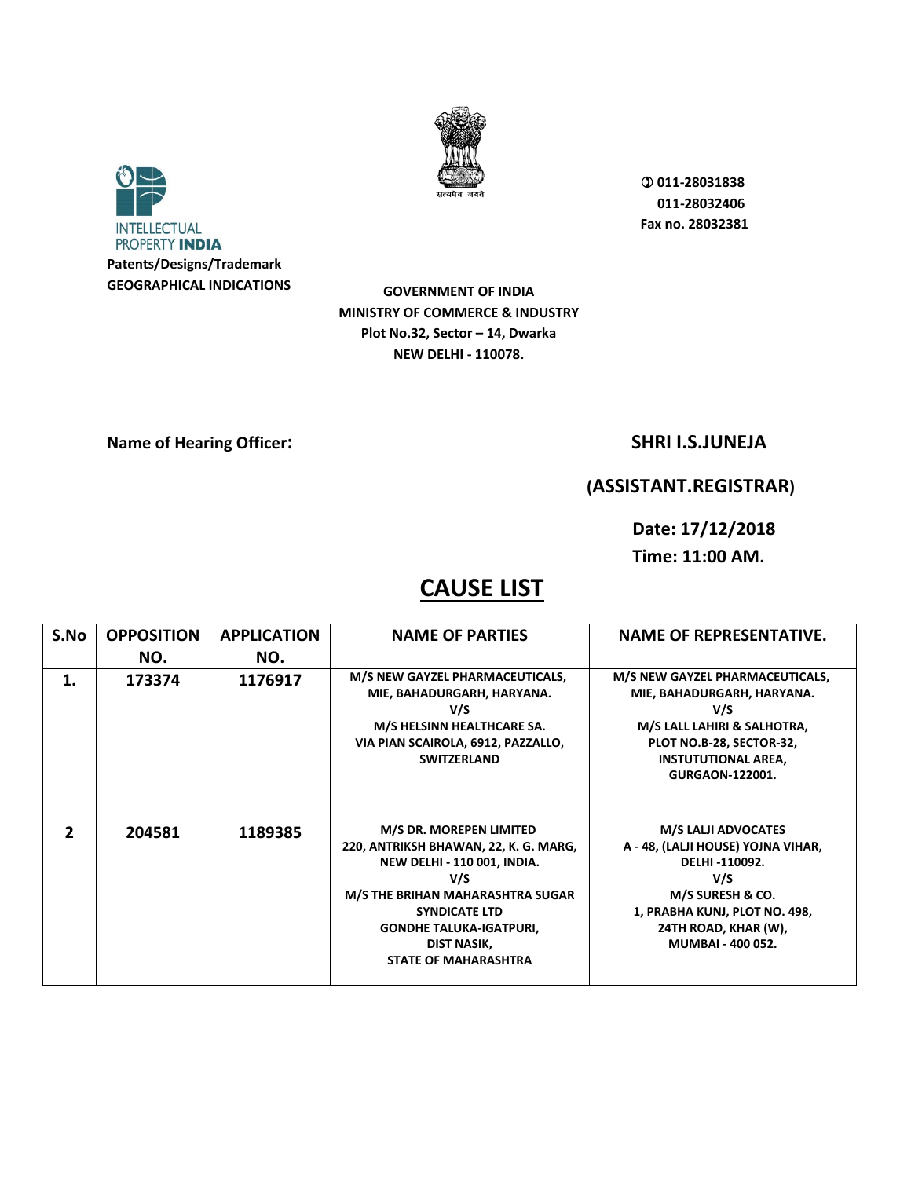



**GOVERNMENT OF INDIA MINISTRY OF COMMERCE & INDUSTRY Plot No.32, Sector – 14, Dwarka NEW DELHI - 110078.** 

**Name of Hearing Officer:** SHRI I.S.JUNEJA

## **(ASSISTANT.REGISTRAR)**

**Date: 17/12/2018 Time: 11:00 AM.** 

| S.No           | <b>OPPOSITION</b> | <b>APPLICATION</b> | <b>NAME OF PARTIES</b>                                                                                                                                                                                                                                    | <b>NAME OF REPRESENTATIVE.</b>                                                                                                                                                                    |
|----------------|-------------------|--------------------|-----------------------------------------------------------------------------------------------------------------------------------------------------------------------------------------------------------------------------------------------------------|---------------------------------------------------------------------------------------------------------------------------------------------------------------------------------------------------|
|                | NO.               | NO.                |                                                                                                                                                                                                                                                           |                                                                                                                                                                                                   |
| 1.             | 173374            | 1176917            | M/S NEW GAYZEL PHARMACEUTICALS,<br>MIE, BAHADURGARH, HARYANA.<br>V/S<br>M/S HELSINN HEALTHCARE SA.<br>VIA PIAN SCAIROLA, 6912, PAZZALLO,<br><b>SWITZERLAND</b>                                                                                            | M/S NEW GAYZEL PHARMACEUTICALS,<br>MIE, BAHADURGARH, HARYANA.<br>V/S<br>M/S LALL LAHIRI & SALHOTRA,<br>PLOT NO.B-28, SECTOR-32,<br><b>INSTUTUTIONAL AREA,</b><br><b>GURGAON-122001.</b>           |
| $\mathfrak{p}$ | 204581            | 1189385            | M/S DR. MOREPEN LIMITED<br>220, ANTRIKSH BHAWAN, 22, K. G. MARG,<br><b>NEW DELHI - 110 001, INDIA.</b><br>V/S<br>M/S THE BRIHAN MAHARASHTRA SUGAR<br><b>SYNDICATE LTD</b><br><b>GONDHE TALUKA-IGATPURI,</b><br>DIST NASIK,<br><b>STATE OF MAHARASHTRA</b> | <b>M/S LALJI ADVOCATES</b><br>A - 48, (LALJI HOUSE) YOJNA VIHAR,<br>DELHI-110092.<br>V/S<br>M/S SURESH & CO.<br>1, PRABHA KUNJ, PLOT NO. 498,<br>24TH ROAD, KHAR (W),<br><b>MUMBAI - 400 052.</b> |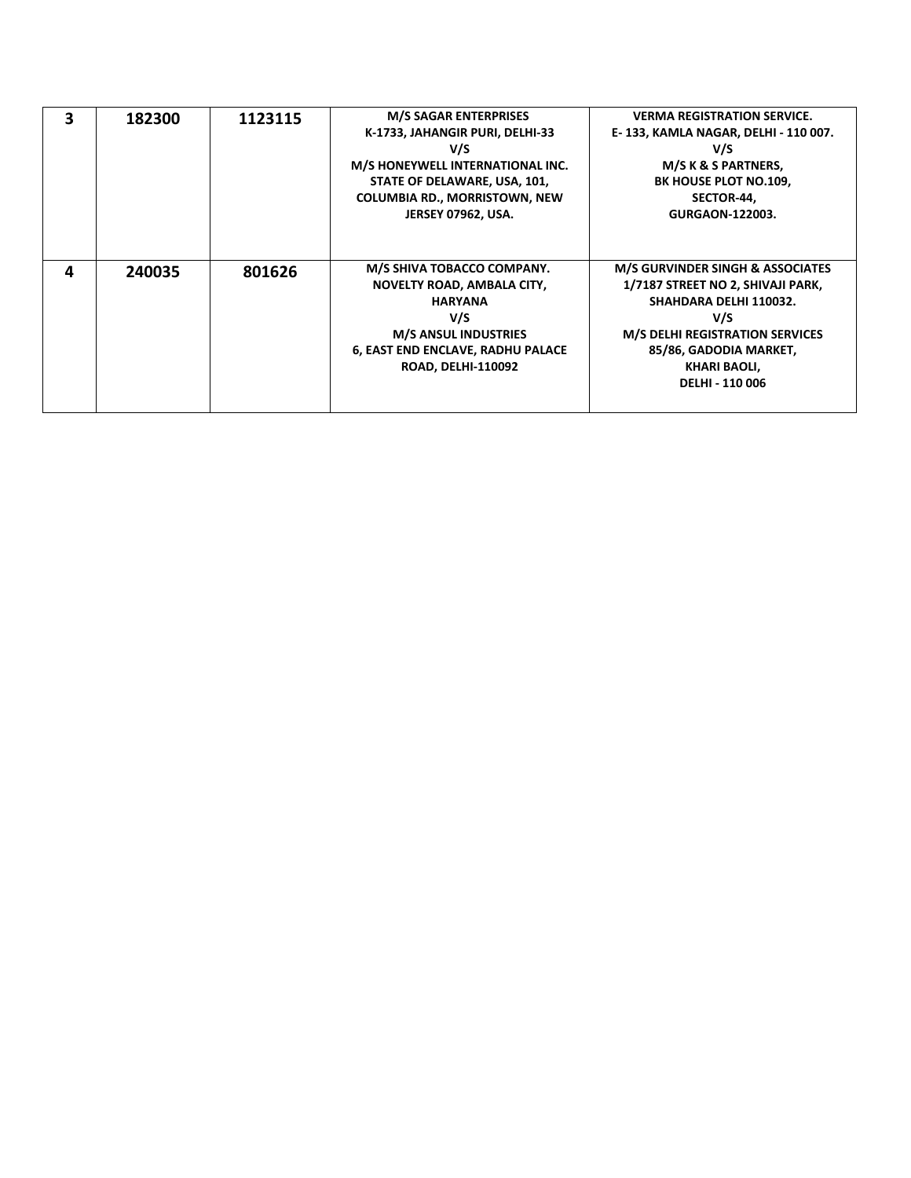| 3 | 182300 | 1123115 | <b>M/S SAGAR ENTERPRISES</b><br>K-1733, JAHANGIR PURI, DELHI-33<br>V/S<br>M/S HONEYWELL INTERNATIONAL INC.<br>STATE OF DELAWARE, USA, 101,<br><b>COLUMBIA RD., MORRISTOWN, NEW</b><br><b>JERSEY 07962, USA.</b> | <b>VERMA REGISTRATION SERVICE.</b><br>E-133, KAMLA NAGAR, DELHI - 110 007.<br>V/S<br>M/S K & S PARTNERS,<br>BK HOUSE PLOT NO.109,<br>SECTOR-44,<br><b>GURGAON-122003.</b>                                                       |
|---|--------|---------|-----------------------------------------------------------------------------------------------------------------------------------------------------------------------------------------------------------------|---------------------------------------------------------------------------------------------------------------------------------------------------------------------------------------------------------------------------------|
| Δ | 240035 | 801626  | M/S SHIVA TOBACCO COMPANY.<br><b>NOVELTY ROAD, AMBALA CITY,</b><br><b>HARYANA</b><br>V/S<br><b>M/S ANSUL INDUSTRIES</b><br>6, EAST END ENCLAVE, RADHU PALACE<br><b>ROAD, DELHI-110092</b>                       | <b>M/S GURVINDER SINGH &amp; ASSOCIATES</b><br>1/7187 STREET NO 2, SHIVAJI PARK,<br>SHAHDARA DELHI 110032.<br>V/S<br><b>M/S DELHI REGISTRATION SERVICES</b><br>85/86, GADODIA MARKET,<br>KHARI BAOLI,<br><b>DELHI - 110 006</b> |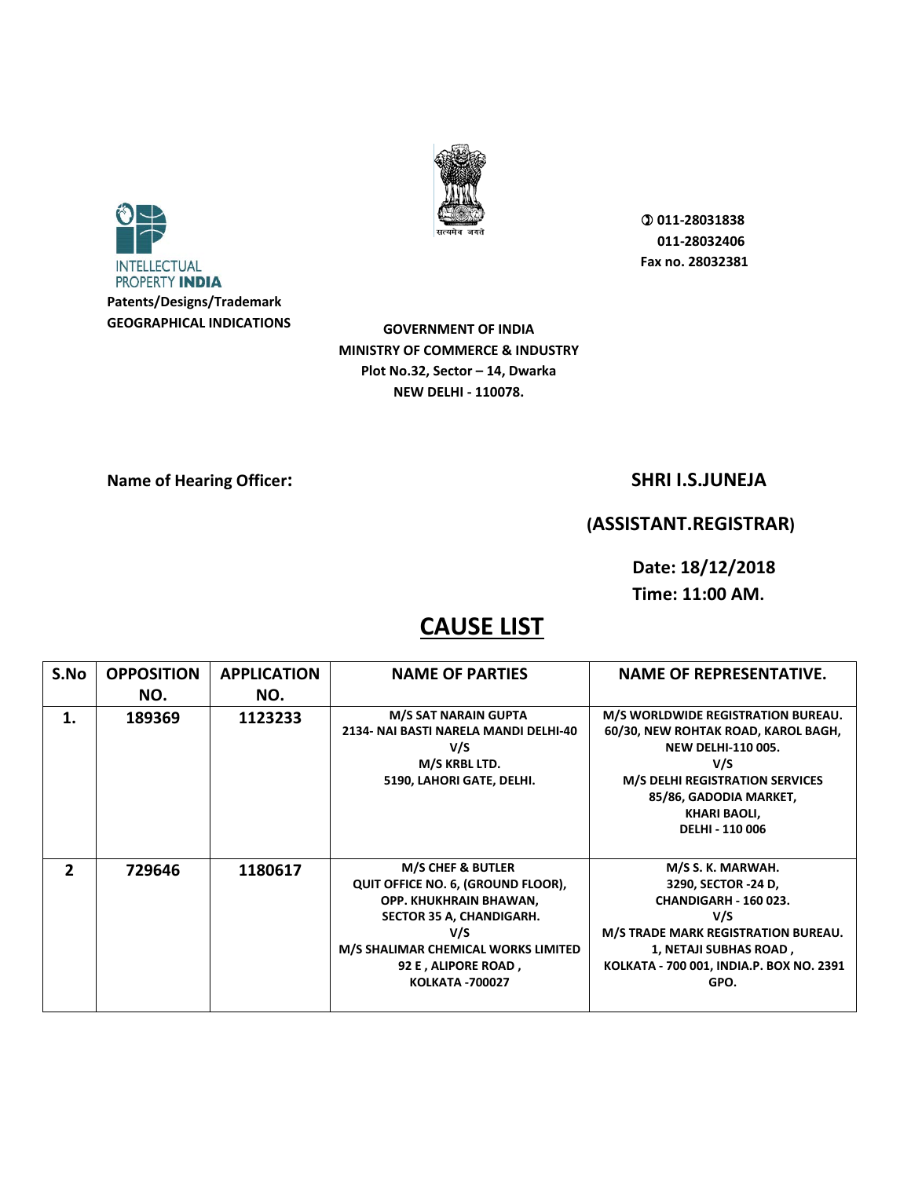



**GOVERNMENT OF INDIA MINISTRY OF COMMERCE & INDUSTRY Plot No.32, Sector – 14, Dwarka NEW DELHI - 110078.** 

### **Name of Hearing Officer:** SHRI I.S.JUNEJA

### **(ASSISTANT.REGISTRAR)**

**Date: 18/12/2018** 

**Time: 11:00 AM.** 

| S.No         | <b>OPPOSITION</b> | <b>APPLICATION</b> | <b>NAME OF PARTIES</b>                                                                                                                                                                                                  | <b>NAME OF REPRESENTATIVE.</b>                                                                                                                                                                                                     |
|--------------|-------------------|--------------------|-------------------------------------------------------------------------------------------------------------------------------------------------------------------------------------------------------------------------|------------------------------------------------------------------------------------------------------------------------------------------------------------------------------------------------------------------------------------|
|              | NO.               | NO.                |                                                                                                                                                                                                                         |                                                                                                                                                                                                                                    |
| 1.           | 189369            | 1123233            | M/S SAT NARAIN GUPTA<br>2134- NAI BASTI NARELA MANDI DELHI-40<br>V/S<br>M/S KRBL LTD.<br>5190, LAHORI GATE, DELHI.                                                                                                      | M/S WORLDWIDE REGISTRATION BUREAU.<br>60/30, NEW ROHTAK ROAD, KAROL BAGH,<br><b>NEW DELHI-110 005.</b><br>V/S<br><b>M/S DELHI REGISTRATION SERVICES</b><br>85/86, GADODIA MARKET,<br><b>KHARI BAOLI,</b><br><b>DELHI - 110 006</b> |
| $\mathbf{z}$ | 729646            | 1180617            | <b>M/S CHEF &amp; BUTLER</b><br>QUIT OFFICE NO. 6, (GROUND FLOOR),<br>OPP. KHUKHRAIN BHAWAN,<br>SECTOR 35 A, CHANDIGARH.<br>V/S<br>M/S SHALIMAR CHEMICAL WORKS LIMITED<br>92 E, ALIPORE ROAD,<br><b>KOLKATA -700027</b> | M/S S. K. MARWAH.<br>3290, SECTOR -24 D,<br><b>CHANDIGARH - 160 023.</b><br>V/S<br>M/S TRADE MARK REGISTRATION BUREAU.<br>1, NETAJI SUBHAS ROAD,<br>KOLKATA - 700 001, INDIA.P. BOX NO. 2391<br>GPO.                               |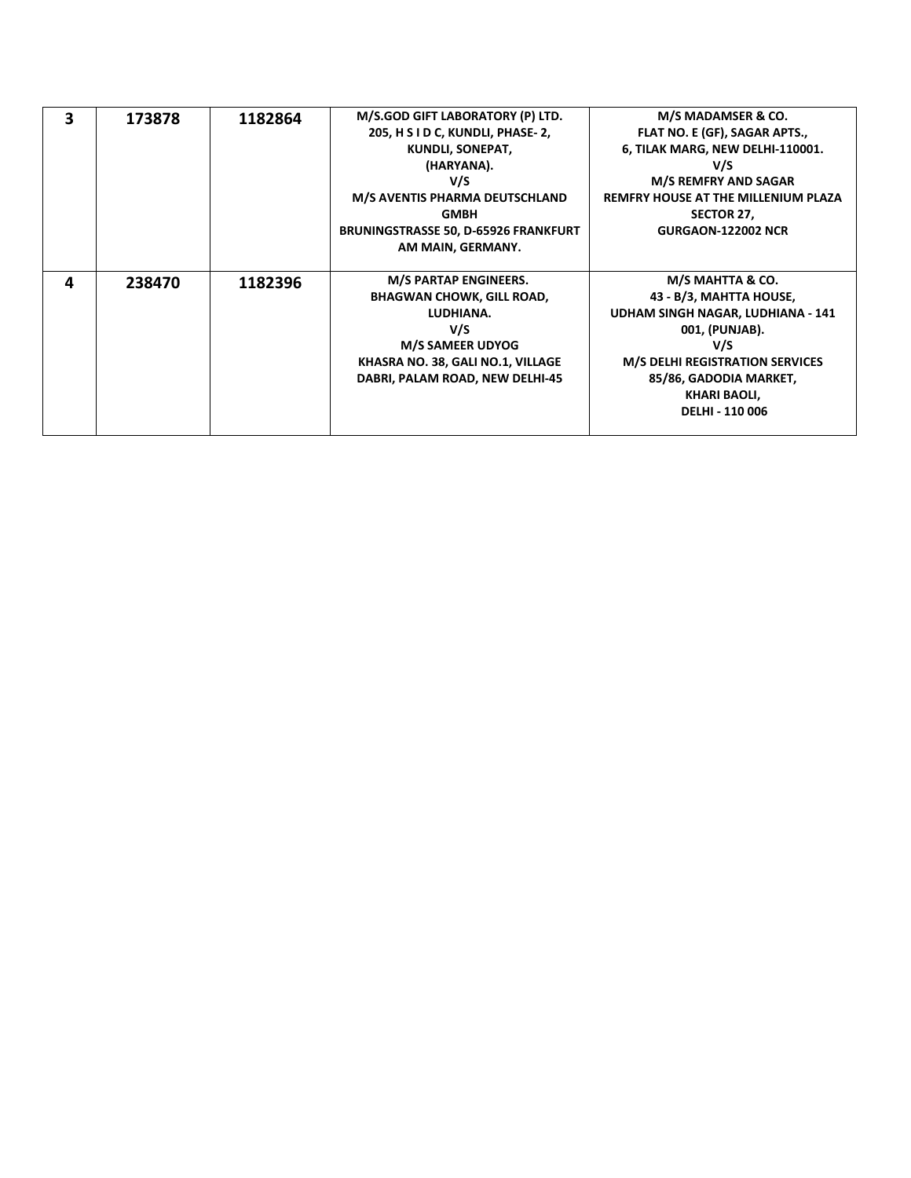| $\overline{\mathbf{3}}$ | 173878 | 1182864 | M/S.GOD GIFT LABORATORY (P) LTD.            | M/S MADAMSER & CO.                         |
|-------------------------|--------|---------|---------------------------------------------|--------------------------------------------|
|                         |        |         | 205, H S I D C, KUNDLI, PHASE-2,            | FLAT NO. E (GF), SAGAR APTS.,              |
|                         |        |         | KUNDLI, SONEPAT,                            | 6, TILAK MARG, NEW DELHI-110001.           |
|                         |        |         | (HARYANA).                                  | V/S                                        |
|                         |        |         | V/S                                         | <b>M/S REMFRY AND SAGAR</b>                |
|                         |        |         | M/S AVENTIS PHARMA DEUTSCHLAND              | <b>REMFRY HOUSE AT THE MILLENIUM PLAZA</b> |
|                         |        |         | <b>GMBH</b>                                 | SECTOR 27,                                 |
|                         |        |         | <b>BRUNINGSTRASSE 50, D-65926 FRANKFURT</b> | <b>GURGAON-122002 NCR</b>                  |
|                         |        |         | AM MAIN, GERMANY.                           |                                            |
|                         |        |         |                                             |                                            |
|                         |        |         |                                             |                                            |
| 4                       |        |         | M/S PARTAP ENGINEERS.                       | M/S MAHTTA & CO.                           |
|                         | 238470 | 1182396 | <b>BHAGWAN CHOWK, GILL ROAD,</b>            | 43 - B/3, MAHTTA HOUSE,                    |
|                         |        |         | LUDHIANA.                                   | UDHAM SINGH NAGAR, LUDHIANA - 141          |
|                         |        |         | V/S                                         | 001, (PUNJAB).                             |
|                         |        |         | <b>M/S SAMEER UDYOG</b>                     | V/S                                        |
|                         |        |         | KHASRA NO. 38, GALI NO.1, VILLAGE           | <b>M/S DELHI REGISTRATION SERVICES</b>     |
|                         |        |         | DABRI, PALAM ROAD, NEW DELHI-45             | 85/86, GADODIA MARKET,                     |
|                         |        |         |                                             | <b>KHARI BAOLI,</b>                        |
|                         |        |         |                                             | <b>DELHI - 110 006</b>                     |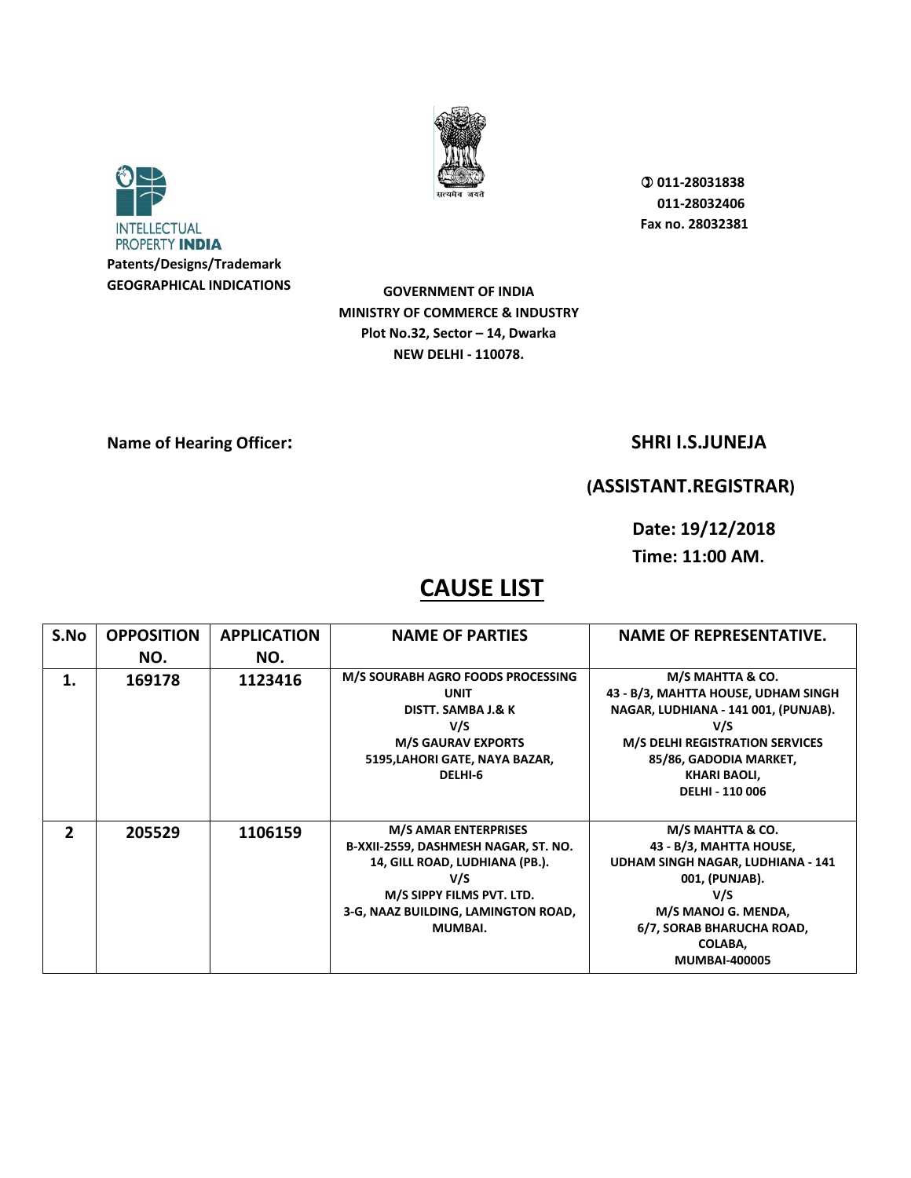



**GOVERNMENT OF INDIA MINISTRY OF COMMERCE & INDUSTRY Plot No.32, Sector – 14, Dwarka NEW DELHI - 110078.** 

**Name of Hearing Officer:** SHRI I.S.JUNEJA

## **(ASSISTANT.REGISTRAR)**

**Date: 19/12/2018 Time: 11:00 AM.** 

| S.No           | <b>OPPOSITION</b> | <b>APPLICATION</b> | <b>NAME OF PARTIES</b>                                                                                                                                                                      | <b>NAME OF REPRESENTATIVE.</b>                                                                                                                                                                                              |
|----------------|-------------------|--------------------|---------------------------------------------------------------------------------------------------------------------------------------------------------------------------------------------|-----------------------------------------------------------------------------------------------------------------------------------------------------------------------------------------------------------------------------|
|                | NO.               | NO.                |                                                                                                                                                                                             |                                                                                                                                                                                                                             |
| 1.             | 169178            | 1123416            | M/S SOURABH AGRO FOODS PROCESSING<br><b>UNIT</b><br>DISTT. SAMBA J.& K<br>V/S<br><b>M/S GAURAV EXPORTS</b><br>5195, LAHORI GATE, NAYA BAZAR,<br>DELHI-6                                     | M/S MAHTTA & CO.<br>43 - B/3, MAHTTA HOUSE, UDHAM SINGH<br>NAGAR, LUDHIANA - 141 001, (PUNJAB).<br>V/S<br><b>M/S DELHI REGISTRATION SERVICES</b><br>85/86, GADODIA MARKET,<br><b>KHARI BAOLI,</b><br><b>DELHI - 110 006</b> |
| $\overline{2}$ | 205529            | 1106159            | <b>M/S AMAR ENTERPRISES</b><br>B-XXII-2559, DASHMESH NAGAR, ST. NO.<br>14, GILL ROAD, LUDHIANA (PB.).<br>V/S<br>M/S SIPPY FILMS PVT. LTD.<br>3-G, NAAZ BUILDING, LAMINGTON ROAD,<br>MUMBAI. | M/S MAHTTA & CO.<br>43 - B/3, MAHTTA HOUSE,<br>UDHAM SINGH NAGAR, LUDHIANA - 141<br>001, (PUNJAB).<br>V/S<br>M/S MANOJ G. MENDA,<br>6/7, SORAB BHARUCHA ROAD,<br>COLABA,<br><b>MUMBAI-400005</b>                            |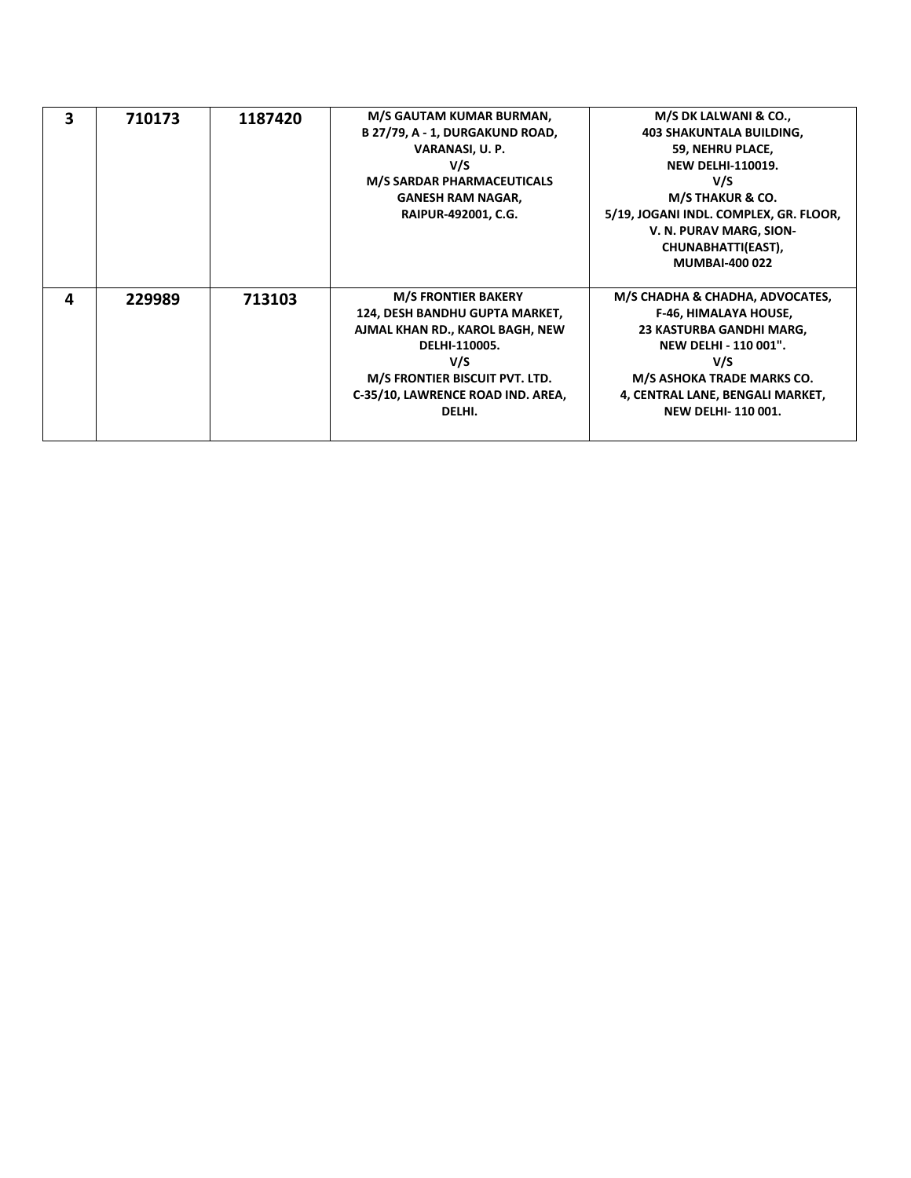| 3 | 710173 | 1187420 | M/S GAUTAM KUMAR BURMAN,<br>B 27/79, A - 1, DURGAKUND ROAD,<br>VARANASI, U. P.<br>V/S<br><b>M/S SARDAR PHARMACEUTICALS</b><br><b>GANESH RAM NAGAR,</b><br>RAIPUR-492001, C.G.                            | M/S DK LALWANI & CO.,<br><b>403 SHAKUNTALA BUILDING,</b><br>59, NEHRU PLACE,<br><b>NEW DELHI-110019.</b><br>V/S<br>M/S THAKUR & CO.<br>5/19, JOGANI INDL. COMPLEX, GR. FLOOR,<br>V. N. PURAV MARG, SION-<br>CHUNABHATTI(EAST),<br><b>MUMBAI-400 022</b> |
|---|--------|---------|----------------------------------------------------------------------------------------------------------------------------------------------------------------------------------------------------------|---------------------------------------------------------------------------------------------------------------------------------------------------------------------------------------------------------------------------------------------------------|
| 4 | 229989 | 713103  | <b>M/S FRONTIER BAKERY</b><br>124, DESH BANDHU GUPTA MARKET,<br>AJMAL KHAN RD., KAROL BAGH, NEW<br>DELHI-110005.<br>V/S<br>M/S FRONTIER BISCUIT PVT. LTD.<br>C-35/10, LAWRENCE ROAD IND. AREA,<br>DELHI. | M/S CHADHA & CHADHA, ADVOCATES,<br><b>F-46, HIMALAYA HOUSE,</b><br>23 KASTURBA GANDHI MARG,<br><b>NEW DELHI - 110 001".</b><br>V/S<br>M/S ASHOKA TRADE MARKS CO.<br>4, CENTRAL LANE, BENGALI MARKET,<br><b>NEW DELHI-110001.</b>                        |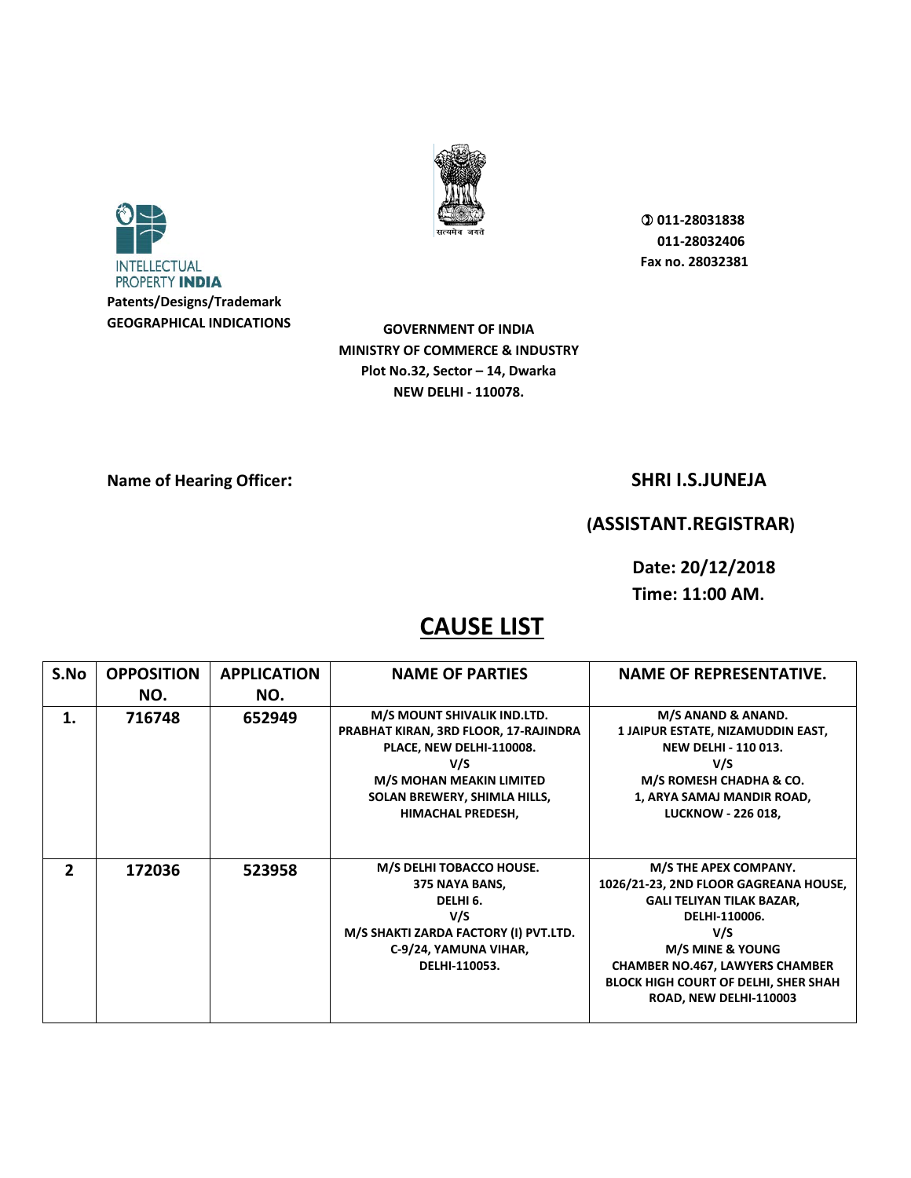



**GOVERNMENT OF INDIA MINISTRY OF COMMERCE & INDUSTRY Plot No.32, Sector – 14, Dwarka NEW DELHI - 110078.** 

### **Name of Hearing Officer:** SHRI I.S.JUNEJA

### **(ASSISTANT.REGISTRAR)**

**Date: 20/12/2018** 

**Time: 11:00 AM.** 

| S.No           | <b>OPPOSITION</b> | <b>APPLICATION</b> | <b>NAME OF PARTIES</b>                                                                                                                                                                          | <b>NAME OF REPRESENTATIVE.</b>                                                                                                                                                                                                                                               |
|----------------|-------------------|--------------------|-------------------------------------------------------------------------------------------------------------------------------------------------------------------------------------------------|------------------------------------------------------------------------------------------------------------------------------------------------------------------------------------------------------------------------------------------------------------------------------|
|                | NO.               | NO.                |                                                                                                                                                                                                 |                                                                                                                                                                                                                                                                              |
| 1.             | 716748            | 652949             | M/S MOUNT SHIVALIK IND.LTD.<br>PRABHAT KIRAN, 3RD FLOOR, 17-RAJINDRA<br>PLACE, NEW DELHI-110008.<br>V/S<br>M/S MOHAN MEAKIN LIMITED<br>SOLAN BREWERY, SHIMLA HILLS,<br><b>HIMACHAL PREDESH,</b> | M/S ANAND & ANAND.<br>1 JAIPUR ESTATE, NIZAMUDDIN EAST,<br><b>NEW DELHI - 110 013.</b><br>V/S<br>M/S ROMESH CHADHA & CO.<br>1, ARYA SAMAJ MANDIR ROAD,<br><b>LUCKNOW - 226 018,</b>                                                                                          |
| $\overline{2}$ | 172036            | 523958             | M/S DELHI TOBACCO HOUSE.<br>375 NAYA BANS,<br>DELHI <sub>6</sub> .<br>V/S<br>M/S SHAKTI ZARDA FACTORY (I) PVT.LTD.<br>C-9/24, YAMUNA VIHAR,<br>DELHI-110053.                                    | M/S THE APEX COMPANY.<br>1026/21-23, 2ND FLOOR GAGREANA HOUSE,<br><b>GALI TELIYAN TILAK BAZAR,</b><br>DELHI-110006.<br>V/S<br><b>M/S MINE &amp; YOUNG</b><br><b>CHAMBER NO.467, LAWYERS CHAMBER</b><br><b>BLOCK HIGH COURT OF DELHI, SHER SHAH</b><br>ROAD, NEW DELHI-110003 |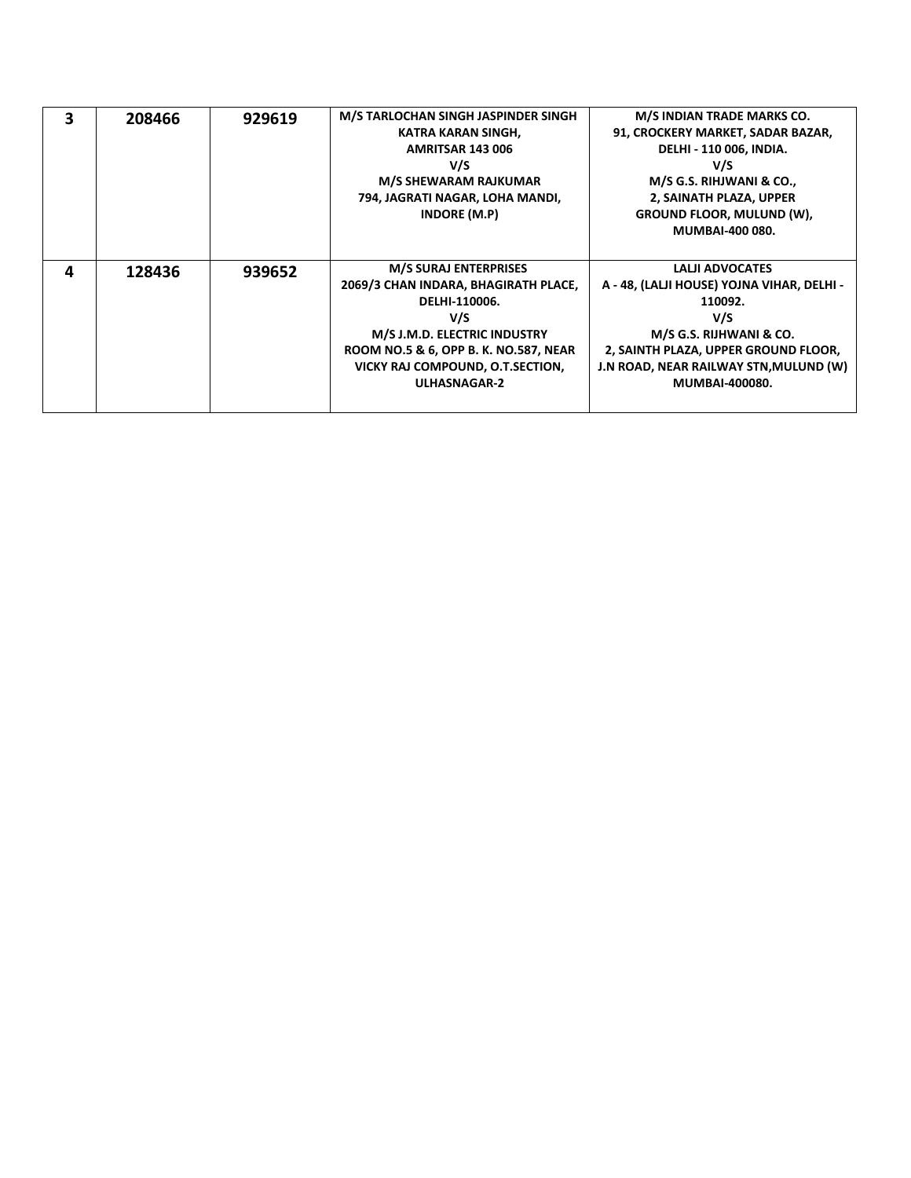| 3 | 208466 | 929619 | M/S TARLOCHAN SINGH JASPINDER SINGH<br>KATRA KARAN SINGH,<br><b>AMRITSAR 143 006</b><br>V/S<br><b>M/S SHEWARAM RAJKUMAR</b><br>794, JAGRATI NAGAR, LOHA MANDI,<br><b>INDORE (M.P)</b>                                            | M/S INDIAN TRADE MARKS CO.<br>91, CROCKERY MARKET, SADAR BAZAR,<br><b>DELHI - 110 006, INDIA.</b><br>V/S<br>M/S G.S. RIHJWANI & CO.,<br>2, SAINATH PLAZA, UPPER<br><b>GROUND FLOOR, MULUND (W),</b><br><b>MUMBAI-400 080.</b> |
|---|--------|--------|----------------------------------------------------------------------------------------------------------------------------------------------------------------------------------------------------------------------------------|-------------------------------------------------------------------------------------------------------------------------------------------------------------------------------------------------------------------------------|
| Δ | 128436 | 939652 | <b>M/S SURAJ ENTERPRISES</b><br>2069/3 CHAN INDARA, BHAGIRATH PLACE,<br>DELHI-110006.<br>V/S<br>M/S J.M.D. ELECTRIC INDUSTRY<br>ROOM NO.5 & 6, OPP B. K. NO.587, NEAR<br>VICKY RAJ COMPOUND, O.T.SECTION,<br><b>ULHASNAGAR-2</b> | <b>LALII ADVOCATES</b><br>A - 48, (LALJI HOUSE) YOJNA VIHAR, DELHI -<br>110092.<br>V/S<br>M/S G.S. RIJHWANI & CO.<br>2, SAINTH PLAZA, UPPER GROUND FLOOR,<br>J.N ROAD, NEAR RAILWAY STN, MULUND (W)<br>MUMBAI-400080.         |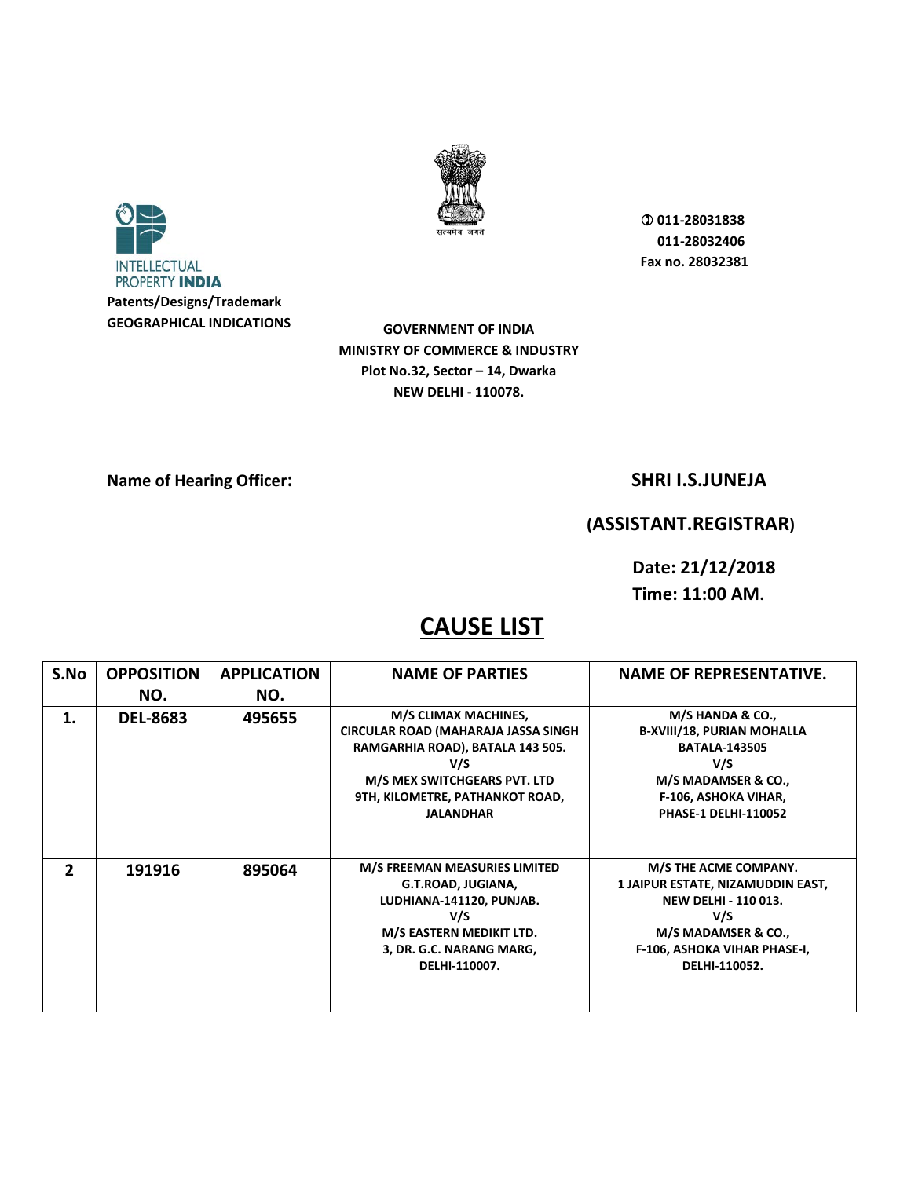



**GOVERNMENT OF INDIA MINISTRY OF COMMERCE & INDUSTRY Plot No.32, Sector – 14, Dwarka NEW DELHI - 110078.** 

### **Name of Hearing Officer:** SHRI I.S.JUNEJA

### **(ASSISTANT.REGISTRAR)**

**Date: 21/12/2018 Time: 11:00 AM.** 

| S.No          | <b>OPPOSITION</b> | <b>APPLICATION</b> | <b>NAME OF PARTIES</b>                                                                                                                                                                                | <b>NAME OF REPRESENTATIVE.</b>                                                                                                                                            |
|---------------|-------------------|--------------------|-------------------------------------------------------------------------------------------------------------------------------------------------------------------------------------------------------|---------------------------------------------------------------------------------------------------------------------------------------------------------------------------|
|               | NO.               | NO.                |                                                                                                                                                                                                       |                                                                                                                                                                           |
| 1.            | <b>DEL-8683</b>   | 495655             | M/S CLIMAX MACHINES,<br><b>CIRCULAR ROAD (MAHARAJA JASSA SINGH)</b><br>RAMGARHIA ROAD), BATALA 143 505.<br>V/S<br>M/S MEX SWITCHGEARS PVT. LTD<br>9TH, KILOMETRE, PATHANKOT ROAD,<br><b>JALANDHAR</b> | M/S HANDA & CO.,<br><b>B-XVIII/18, PURIAN MOHALLA</b><br><b>BATALA-143505</b><br>V/S<br>M/S MADAMSER & CO.,<br><b>F-106, ASHOKA VIHAR,</b><br><b>PHASE-1 DELHI-110052</b> |
| $\mathfrak z$ | 191916            | 895064             | M/S FREEMAN MEASURIES LIMITED<br>G.T.ROAD, JUGIANA,<br>LUDHIANA-141120, PUNJAB.<br>V/S<br>M/S EASTERN MEDIKIT LTD.<br>3, DR. G.C. NARANG MARG,<br>DELHI-110007.                                       | M/S THE ACME COMPANY.<br>1 JAIPUR ESTATE, NIZAMUDDIN EAST,<br><b>NEW DELHI - 110 013.</b><br>V/S<br>M/S MADAMSER & CO.,<br>F-106, ASHOKA VIHAR PHASE-I,<br>DELHI-110052.  |